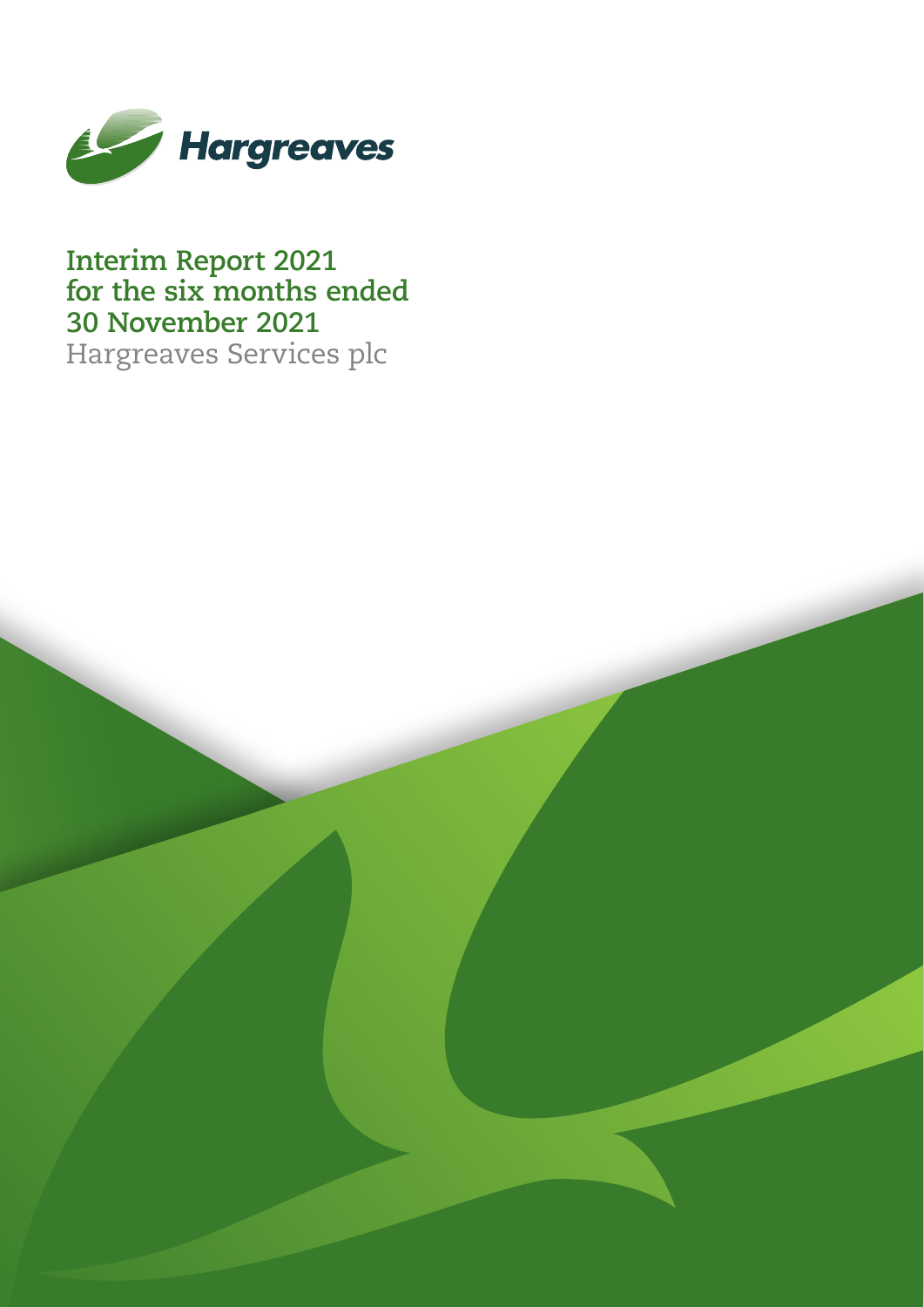

**Interim Report 2021 for the six months ended 30 November 2021** Hargreaves Services plc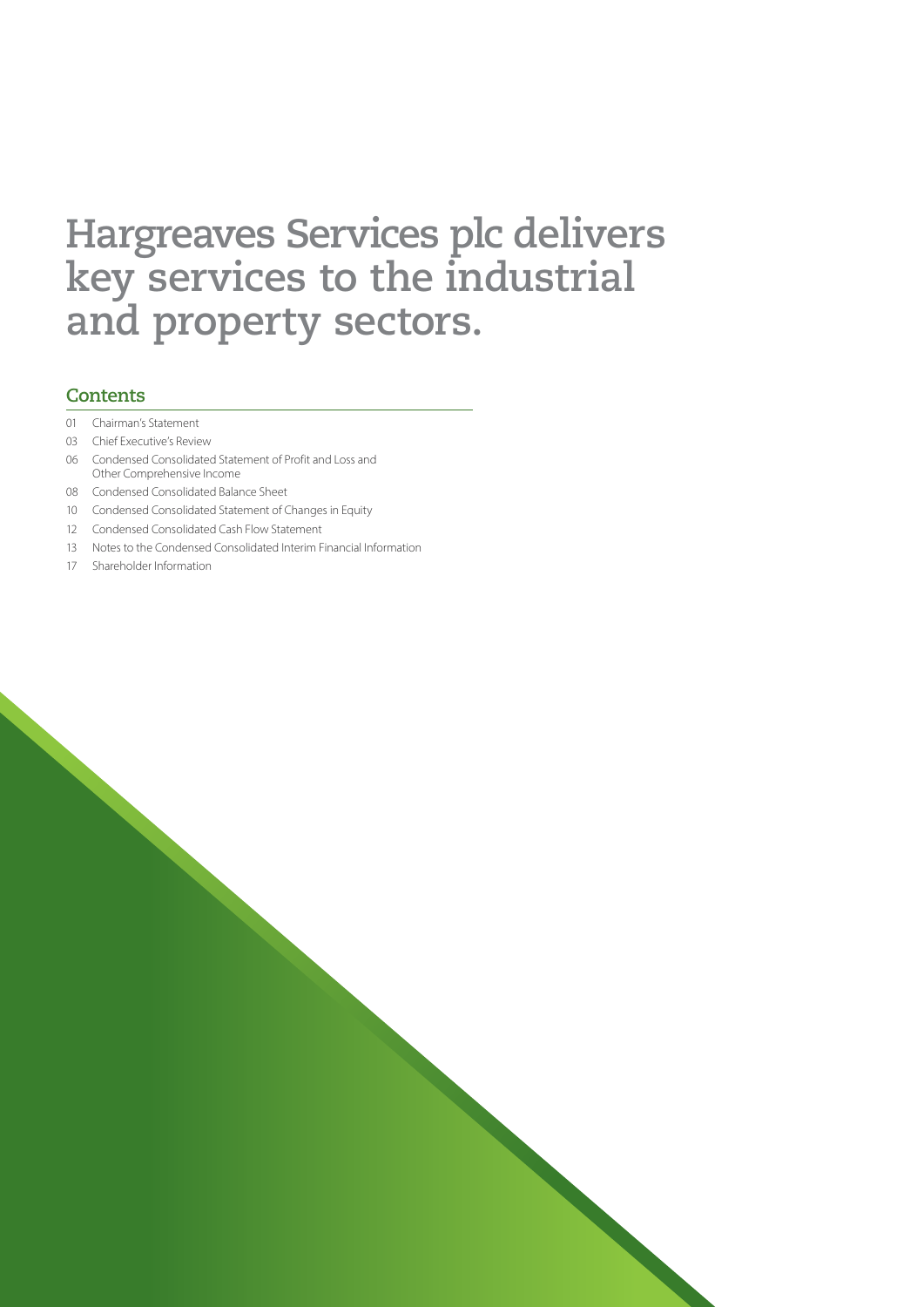# **Hargreaves Services plc delivers key services to the industrial and property sectors.**

### **Contents**

- 01 Chairman's Statement
- 03 Chief Executive's Review
- 06 Condensed Consolidated Statement of Profit and Loss and Other Comprehensive Income
- 08 Condensed Consolidated Balance Sheet
- 10 Condensed Consolidated Statement of Changes in Equity
- 12 Condensed Consolidated Cash Flow Statement
- 13 Notes to the Condensed Consolidated Interim Financial Information
- 17 Shareholder Information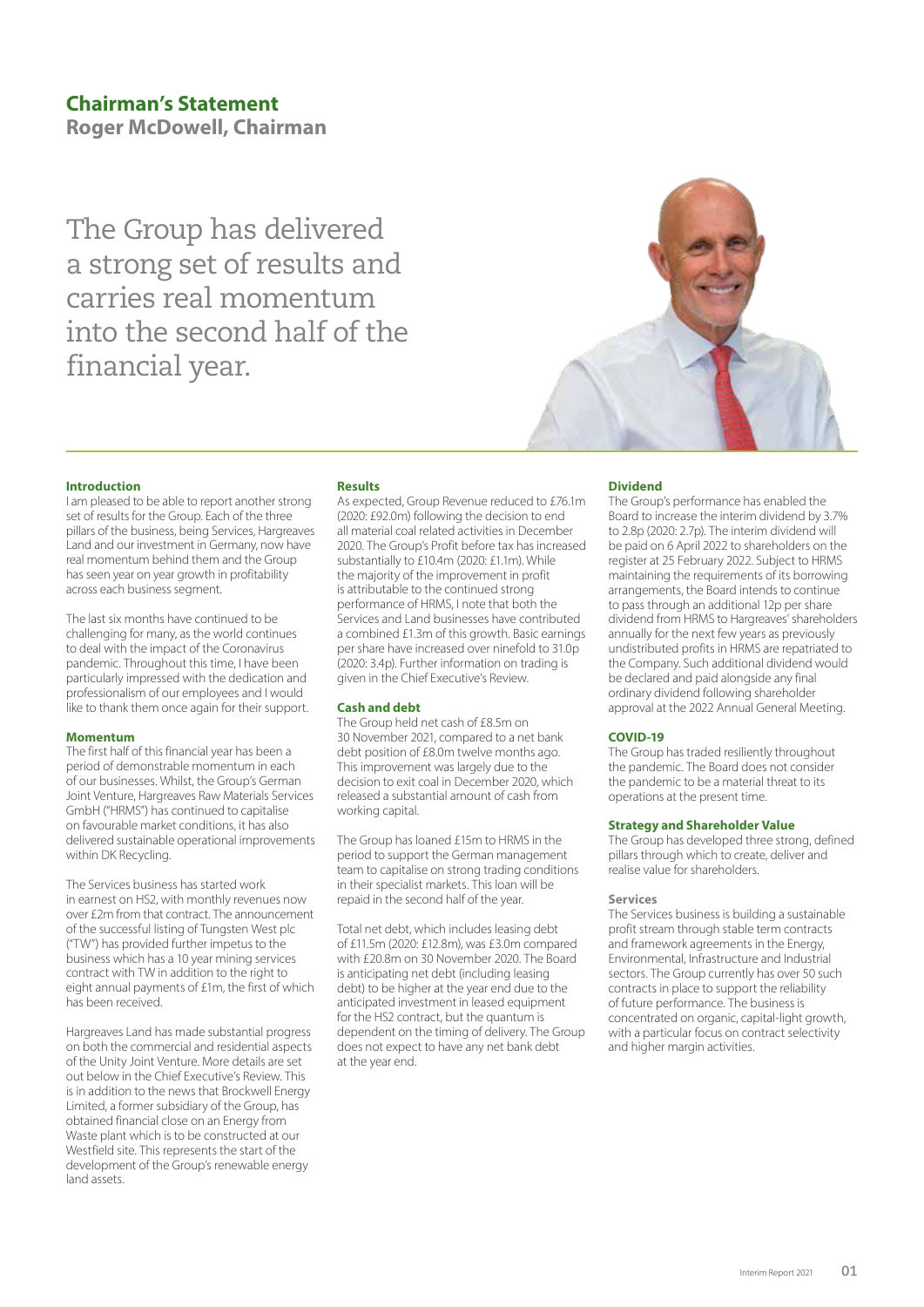**Roger McDowell, Chairman**

The Group has delivered a strong set of results and carries real momentum into the second half of the financial year.



### **Introduction**

I am pleased to be able to report another strong set of results for the Group. Each of the three pillars of the business, being Services, Hargreaves Land and our investment in Germany, now have real momentum behind them and the Group has seen year on year growth in profitability across each business segment.

The last six months have continued to be challenging for many, as the world continues to deal with the impact of the Coronavirus pandemic. Throughout this time, I have been particularly impressed with the dedication and professionalism of our employees and I would like to thank them once again for their support.

### **Momentum**

The first half of this financial year has been a period of demonstrable momentum in each of our businesses. Whilst, the Group's German Joint Venture, Hargreaves Raw Materials Services GmbH ("HRMS") has continued to capitalise on favourable market conditions, it has also delivered sustainable operational improvements within DK Recycling.

The Services business has started work in earnest on HS2, with monthly revenues now over £2m from that contract. The announcement of the successful listing of Tungsten West plc ("TW") has provided further impetus to the business which has a 10 year mining services contract with TW in addition to the right to eight annual payments of £1m, the first of which has been received.

Hargreaves Land has made substantial progress on both the commercial and residential aspects of the Unity Joint Venture. More details are set out below in the Chief Executive's Review. This is in addition to the news that Brockwell Energy Limited, a former subsidiary of the Group, has obtained financial close on an Energy from Waste plant which is to be constructed at our Westfield site. This represents the start of the development of the Group's renewable energy land assets.

### **Results**

As expected, Group Revenue reduced to £76.1m (2020: £92.0m) following the decision to end all material coal related activities in December 2020. The Group's Profit before tax has increased substantially to £10.4m (2020: £1.1m). While the majority of the improvement in profit is attributable to the continued strong performance of HRMS, I note that both the Services and Land businesses have contributed a combined £1.3m of this growth. Basic earnings per share have increased over ninefold to 31.0p (2020: 3.4p). Further information on trading is given in the Chief Executive's Review.

### **Cash and debt**

The Group held net cash of £8.5m on 30 November 2021, compared to a net bank debt position of £8.0m twelve months ago. This improvement was largely due to the decision to exit coal in December 2020, which released a substantial amount of cash from working capital.

The Group has loaned £15m to HRMS in the period to support the German management team to capitalise on strong trading conditions in their specialist markets. This loan will be repaid in the second half of the year.

Total net debt, which includes leasing debt of £11.5m (2020: £12.8m), was £3.0m compared with £20.8m on 30 November 2020. The Board is anticipating net debt (including leasing debt) to be higher at the year end due to the anticipated investment in leased equipment for the HS2 contract, but the quantum is dependent on the timing of delivery. The Group does not expect to have any net bank debt at the year end.

### **Dividend**

The Group's performance has enabled the Board to increase the interim dividend by 3.7% to 2.8p (2020: 2.7p). The interim dividend will be paid on 6 April 2022 to shareholders on the register at 25 February 2022. Subject to HRMS maintaining the requirements of its borrowing arrangements, the Board intends to continue to pass through an additional 12p per share dividend from HRMS to Hargreaves' shareholders annually for the next few years as previously undistributed profits in HRMS are repatriated to the Company. Such additional dividend would be declared and paid alongside any final ordinary dividend following shareholder approval at the 2022 Annual General Meeting.

### **COVID-19**

The Group has traded resiliently throughout the pandemic. The Board does not consider the pandemic to be a material threat to its operations at the present time.

### **Strategy and Shareholder Value**

The Group has developed three strong, defined pillars through which to create, deliver and realise value for shareholders.

### **Services**

The Services business is building a sustainable profit stream through stable term contracts and framework agreements in the Energy, Environmental, Infrastructure and Industrial sectors. The Group currently has over 50 such contracts in place to support the reliability of future performance. The business is concentrated on organic, capital-light growth, with a particular focus on contract selectivity and higher margin activities.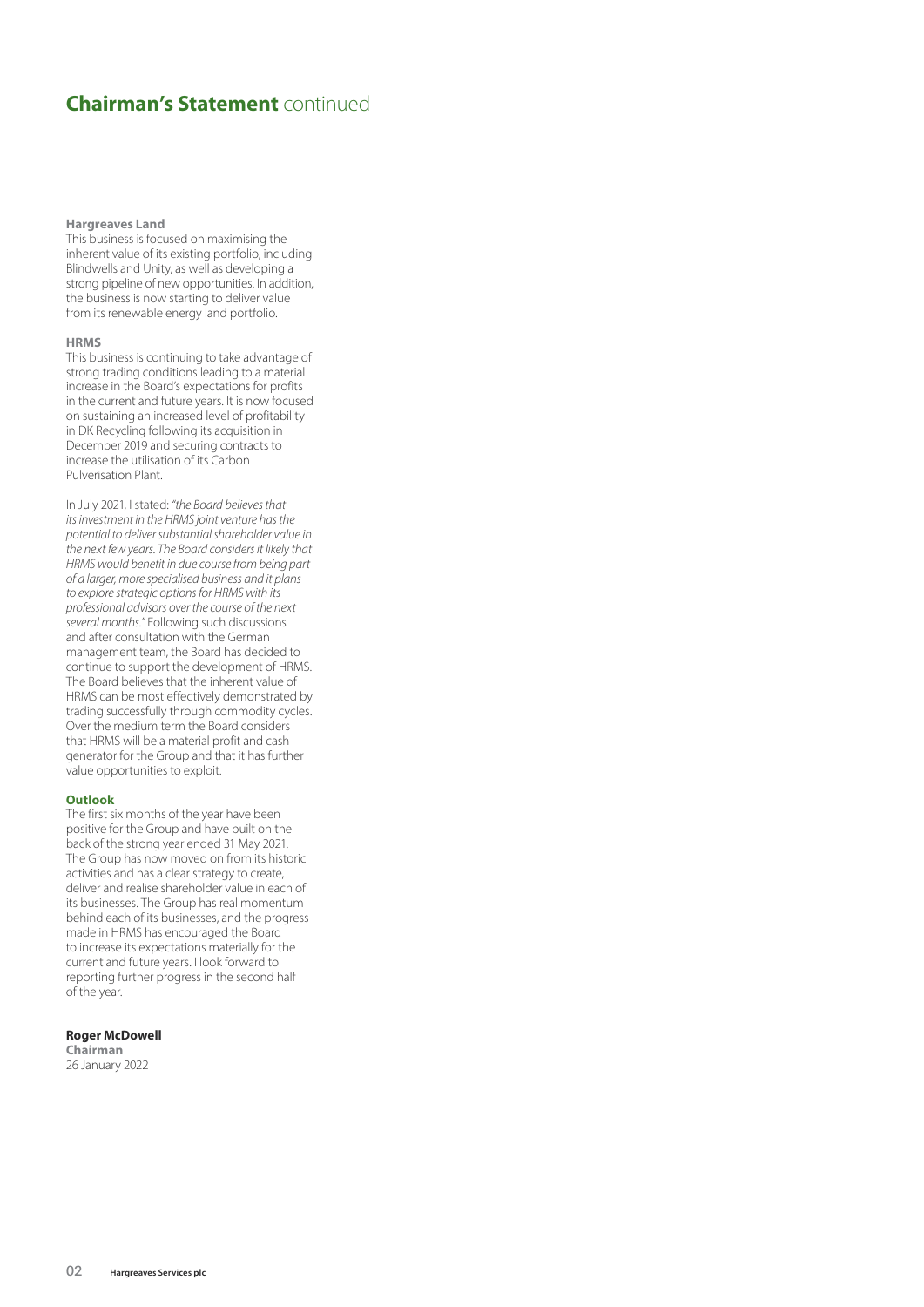## **Chairman's Statement** continued

#### **Hargreaves Land**

This business is focused on maximising the inherent value of its existing portfolio, including Blindwells and Unity, as well as developing a strong pipeline of new opportunities. In addition, the business is now starting to deliver value from its renewable energy land portfolio.

### **HRMS**

This business is continuing to take advantage of strong trading conditions leading to a material increase in the Board's expectations for profits in the current and future years. It is now focused on sustaining an increased level of profitability in DK Recycling following its acquisition in December 2019 and securing contracts to increase the utilisation of its Carbon Pulverisation Plant.

In July 2021, I stated: *"the Board believes that its investment in the HRMS joint venture has the potential to deliver substantial shareholder value in the next few years. The Board considers it likely that HRMS would benefit in due course from being part of a larger, more specialised business and it plans to explore strategic options for HRMS with its professional advisors over the course of the next several months."* Following such discussions and after consultation with the German management team, the Board has decided to continue to support the development of HRMS. The Board believes that the inherent value of HRMS can be most effectively demonstrated by trading successfully through commodity cycles. Over the medium term the Board considers that HRMS will be a material profit and cash generator for the Group and that it has further value opportunities to exploit.

#### **Outlook**

The first six months of the year have been positive for the Group and have built on the back of the strong year ended 31 May 2021. The Group has now moved on from its historic activities and has a clear strategy to create, deliver and realise shareholder value in each of its businesses. The Group has real momentum behind each of its businesses, and the progress made in HRMS has encouraged the Board to increase its expectations materially for the current and future years. I look forward to reporting further progress in the second half of the year.

### **Roger McDowell**

**Chairman** 26 January 2022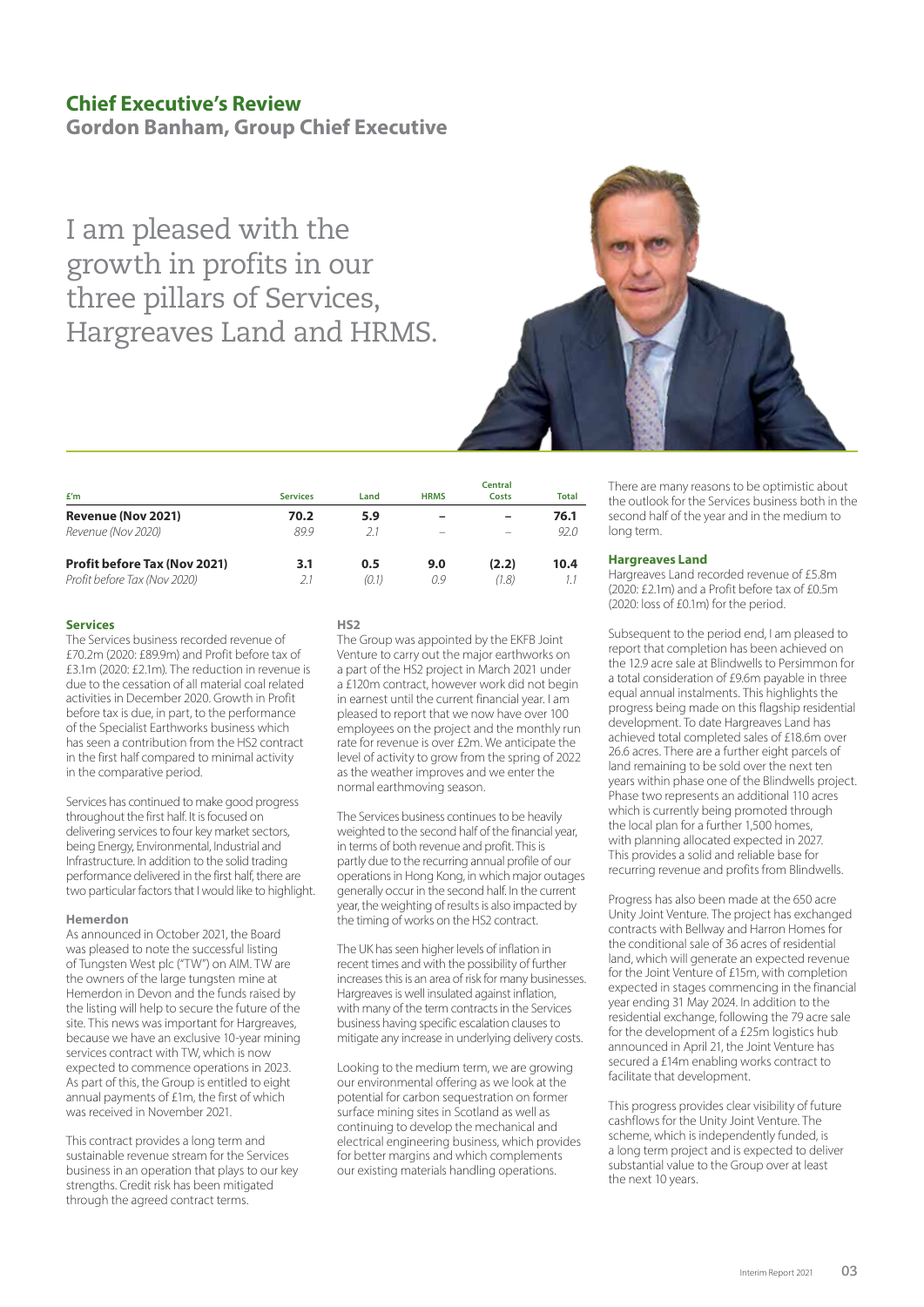### **Chief Executive's Review**

**Gordon Banham, Group Chief Executive**

I am pleased with the growth in profits in our three pillars of Services, Hargreaves Land and HRMS.



| f'm                                 | <b>Services</b> | Land  | <b>HRMS</b> | <b>Central</b><br>Costs | <b>Total</b> |
|-------------------------------------|-----------------|-------|-------------|-------------------------|--------------|
| Revenue (Nov 2021)                  | 70.2            | 5.9   | -           | -                       | 76.1         |
| Revenue (Nov 2020)                  | 899             | 21    |             |                         | 92.0         |
| <b>Profit before Tax (Nov 2021)</b> | 3.1             | 0.5   | 9.0         | (2.2)                   | 10.4         |
| Profit before Tax (Nov 2020)        | 2.1             | (0.1) | 0.9         | (1.8)                   |              |

### **Services**

The Services business recorded revenue of £70.2m (2020: £89.9m) and Profit before tax of £3.1m (2020: £2.1m). The reduction in revenue is due to the cessation of all material coal related activities in December 2020. Growth in Profit before tax is due, in part, to the performance of the Specialist Earthworks business which has seen a contribution from the HS2 contract in the first half compared to minimal activity in the comparative period.

Services has continued to make good progress throughout the first half. It is focused on delivering services to four key market sectors, being Energy, Environmental, Industrial and Infrastructure. In addition to the solid trading performance delivered in the first half, there are two particular factors that I would like to highlight.

### **Hemerdon**

As announced in October 2021, the Board was pleased to note the successful listing of Tungsten West plc ("TW") on AIM. TW are the owners of the large tungsten mine at Hemerdon in Devon and the funds raised by the listing will help to secure the future of the site. This news was important for Hargreaves, because we have an exclusive 10-year mining services contract with TW, which is now expected to commence operations in 2023. As part of this, the Group is entitled to eight annual payments of £1m, the first of which was received in November 2021.

This contract provides a long term and sustainable revenue stream for the Services business in an operation that plays to our key strengths. Credit risk has been mitigated through the agreed contract terms.

### **HS2**

The Group was appointed by the EKFB Joint Venture to carry out the major earthworks on a part of the HS2 project in March 2021 under a £120m contract, however work did not begin in earnest until the current financial year. I am pleased to report that we now have over 100 employees on the project and the monthly run rate for revenue is over £2m. We anticipate the level of activity to grow from the spring of 2022 as the weather improves and we enter the normal earthmoving season.

The Services business continues to be heavily weighted to the second half of the financial year, in terms of both revenue and profit. This is partly due to the recurring annual profile of our operations in Hong Kong, in which major outages generally occur in the second half. In the current year, the weighting of results is also impacted by the timing of works on the HS2 contract.

The UK has seen higher levels of inflation in recent times and with the possibility of further increases this is an area of risk for many businesses. Hargreaves is well insulated against inflation, with many of the term contracts in the Services business having specific escalation clauses to mitigate any increase in underlying delivery costs.

Looking to the medium term, we are growing our environmental offering as we look at the potential for carbon sequestration on former surface mining sites in Scotland as well as continuing to develop the mechanical and electrical engineering business, which provides for better margins and which complements our existing materials handling operations.

There are many reasons to be optimistic about the outlook for the Services business both in the second half of the year and in the medium to long term.

### **Hargreaves Land**

Hargreaves Land recorded revenue of £5.8m  $(2020 \cdot f)$  1m) and a Profit before tax of  $f$ 0.5m (2020: loss of £0.1m) for the period.

Subsequent to the period end, I am pleased to report that completion has been achieved on the 12.9 acre sale at Blindwells to Persimmon for a total consideration of £9.6m payable in three equal annual instalments. This highlights the progress being made on this flagship residential development. To date Hargreaves Land has achieved total completed sales of £18.6m over 26.6 acres. There are a further eight parcels of land remaining to be sold over the next ten years within phase one of the Blindwells project. Phase two represents an additional 110 acres which is currently being promoted through the local plan for a further 1,500 homes, with planning allocated expected in 2027. This provides a solid and reliable base for recurring revenue and profits from Blindwells.

Progress has also been made at the 650 acre Unity Joint Venture. The project has exchanged contracts with Bellway and Harron Homes for the conditional sale of 36 acres of residential land, which will generate an expected revenue for the Joint Venture of £15m, with completion expected in stages commencing in the financial year ending 31 May 2024. In addition to the residential exchange, following the 79 acre sale for the development of a £25m logistics hub announced in April 21, the Joint Venture has secured a £14m enabling works contract to facilitate that development.

This progress provides clear visibility of future cashflows for the Unity Joint Venture. The scheme, which is independently funded, is a long term project and is expected to deliver substantial value to the Group over at least the next 10 years.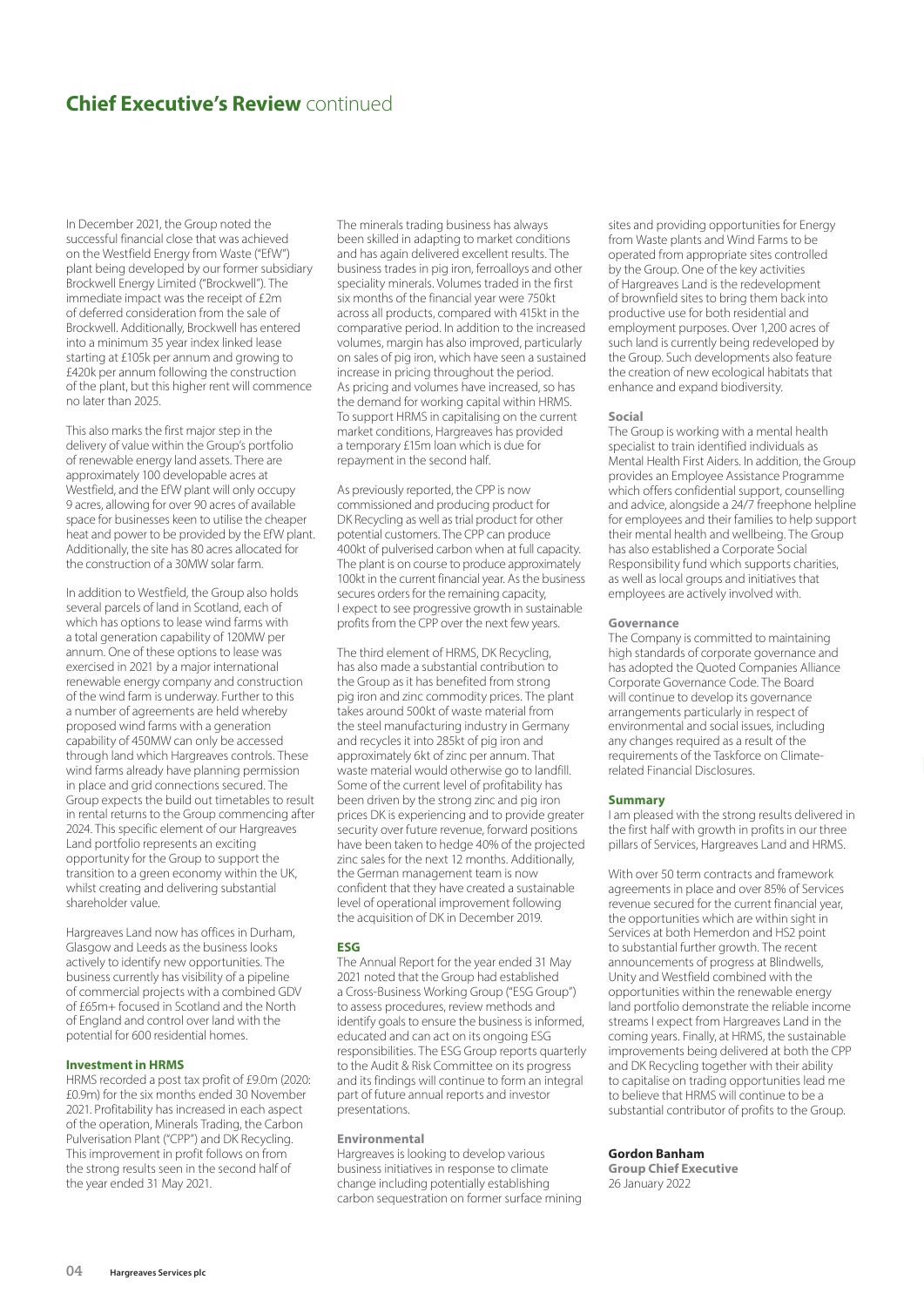### **Chief Executive's Review continued**

In December 2021, the Group noted the successful financial close that was achieved on the Westfield Energy from Waste ("EfW") plant being developed by our former subsidiary Brockwell Energy Limited ("Brockwell"). The immediate impact was the receipt of £2m of deferred consideration from the sale of Brockwell. Additionally, Brockwell has entered into a minimum 35 year index linked lease starting at £105k per annum and growing to £420k per annum following the construction of the plant, but this higher rent will commence no later than 2025.

This also marks the first major step in the delivery of value within the Group's portfolio of renewable energy land assets. There are approximately 100 developable acres at Westfield, and the EfW plant will only occupy 9 acres, allowing for over 90 acres of available space for businesses keen to utilise the cheaper heat and power to be provided by the EfW plant. Additionally, the site has 80 acres allocated for the construction of a 30MW solar farm.

In addition to Westfield, the Group also holds several parcels of land in Scotland, each of which has options to lease wind farms with a total generation capability of 120MW per annum. One of these options to lease was exercised in 2021 by a major international renewable energy company and construction of the wind farm is underway. Further to this a number of agreements are held whereby proposed wind farms with a generation capability of 450MW can only be accessed through land which Hargreaves controls. These wind farms already have planning permission in place and grid connections secured. The Group expects the build out timetables to result in rental returns to the Group commencing after 2024. This specific element of our Hargreaves Land portfolio represents an exciting opportunity for the Group to support the transition to a green economy within the UK, whilst creating and delivering substantial shareholder value.

Hargreaves Land now has offices in Durham, Glasgow and Leeds as the business looks actively to identify new opportunities. The business currently has visibility of a pipeline of commercial projects with a combined GDV of £65m+ focused in Scotland and the North of England and control over land with the potential for 600 residential homes.

### **Investment in HRMS**

HRMS recorded a post tax profit of £9.0m (2020: £0.9m) for the six months ended 30 November 2021. Profitability has increased in each aspect of the operation, Minerals Trading, the Carbon Pulverisation Plant ("CPP") and DK Recycling. This improvement in profit follows on from the strong results seen in the second half of the year ended 31 May 2021.

The minerals trading business has always been skilled in adapting to market conditions and has again delivered excellent results. The business trades in pig iron, ferroalloys and other speciality minerals. Volumes traded in the first six months of the financial year were 750kt across all products, compared with 415kt in the comparative period. In addition to the increased volumes, margin has also improved, particularly on sales of pig iron, which have seen a sustained increase in pricing throughout the period. As pricing and volumes have increased, so has the demand for working capital within HRMS. To support HRMS in capitalising on the current market conditions, Hargreaves has provided a temporary £15m loan which is due for repayment in the second half.

As previously reported, the CPP is now commissioned and producing product for DK Recycling as well as trial product for other potential customers. The CPP can produce 400kt of pulverised carbon when at full capacity. The plant is on course to produce approximately 100kt in the current financial year. As the business secures orders for the remaining capacity, I expect to see progressive growth in sustainable profits from the CPP over the next few years.

The third element of HRMS, DK Recycling, has also made a substantial contribution to the Group as it has benefited from strong pig iron and zinc commodity prices. The plant takes around 500kt of waste material from the steel manufacturing industry in Germany and recycles it into 285kt of pig iron and approximately 6kt of zinc per annum. That waste material would otherwise go to landfill. Some of the current level of profitability has been driven by the strong zinc and pig iron prices DK is experiencing and to provide greater security over future revenue, forward positions have been taken to hedge 40% of the projected zinc sales for the next 12 months. Additionally, the German management team is now confident that they have created a sustainable level of operational improvement following the acquisition of DK in December 2019.

### **ESG**

The Annual Report for the year ended 31 May 2021 noted that the Group had established a Cross-Business Working Group ("ESG Group") to assess procedures, review methods and identify goals to ensure the business is informed, educated and can act on its ongoing ESG responsibilities. The ESG Group reports quarterly to the Audit & Risk Committee on its progress and its findings will continue to form an integral part of future annual reports and investor presentations.

#### **Environmental**

Hargreaves is looking to develop various business initiatives in response to climate change including potentially establishing carbon sequestration on former surface mining sites and providing opportunities for Energy from Waste plants and Wind Farms to be operated from appropriate sites controlled by the Group. One of the key activities of Hargreaves Land is the redevelopment of brownfield sites to bring them back into productive use for both residential and employment purposes. Over 1,200 acres of such land is currently being redeveloped by the Group. Such developments also feature the creation of new ecological habitats that enhance and expand biodiversity.

#### **Social**

The Group is working with a mental health specialist to train identified individuals as Mental Health First Aiders. In addition, the Group provides an Employee Assistance Programme which offers confidential support, counselling and advice, alongside a 24/7 freephone helpline for employees and their families to help support their mental health and wellbeing. The Group has also established a Corporate Social Responsibility fund which supports charities, as well as local groups and initiatives that employees are actively involved with.

### **Governance**

The Company is committed to maintaining high standards of corporate governance and has adopted the Quoted Companies Alliance Corporate Governance Code. The Board will continue to develop its governance arrangements particularly in respect of environmental and social issues, including any changes required as a result of the requirements of the Taskforce on Climaterelated Financial Disclosures.

#### **Summary**

I am pleased with the strong results delivered in the first half with growth in profits in our three pillars of Services, Hargreaves Land and HRMS.

With over 50 term contracts and framework agreements in place and over 85% of Services revenue secured for the current financial year, the opportunities which are within sight in Services at both Hemerdon and HS2 point to substantial further growth. The recent announcements of progress at Blindwells, Unity and Westfield combined with the opportunities within the renewable energy land portfolio demonstrate the reliable income streams I expect from Hargreaves Land in the coming years. Finally, at HRMS, the sustainable improvements being delivered at both the CPP and DK Recycling together with their ability to capitalise on trading opportunities lead me to believe that HRMS will continue to be a substantial contributor of profits to the Group.

### **Gordon Banham**

**Group Chief Executive** 26 January 2022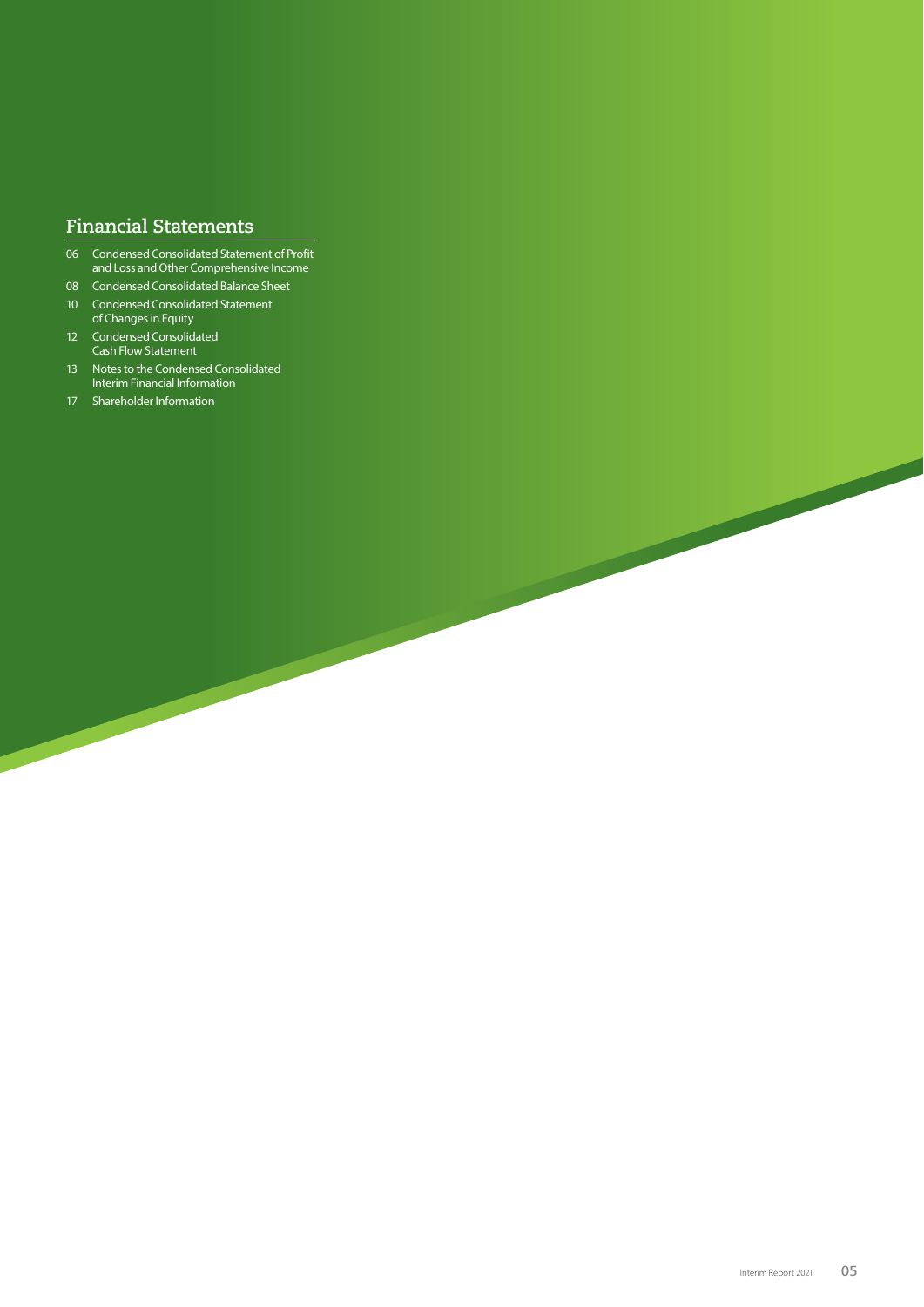### **Financial Statements**

- 06 Condensed Consolidated Statement of Profit and Loss and Other Comprehensive Income
- 08 Condensed Consolidated Balance Sheet
- 10 Condensed Consolidated Statement of Changes in Equity
- 12 Condensed Consolidated Cash Flow Statement
- 13 Notes to the Condensed Consolidated Interim Financial Information
- 17 Shareholder Information

 $\overline{\phantom{a}}$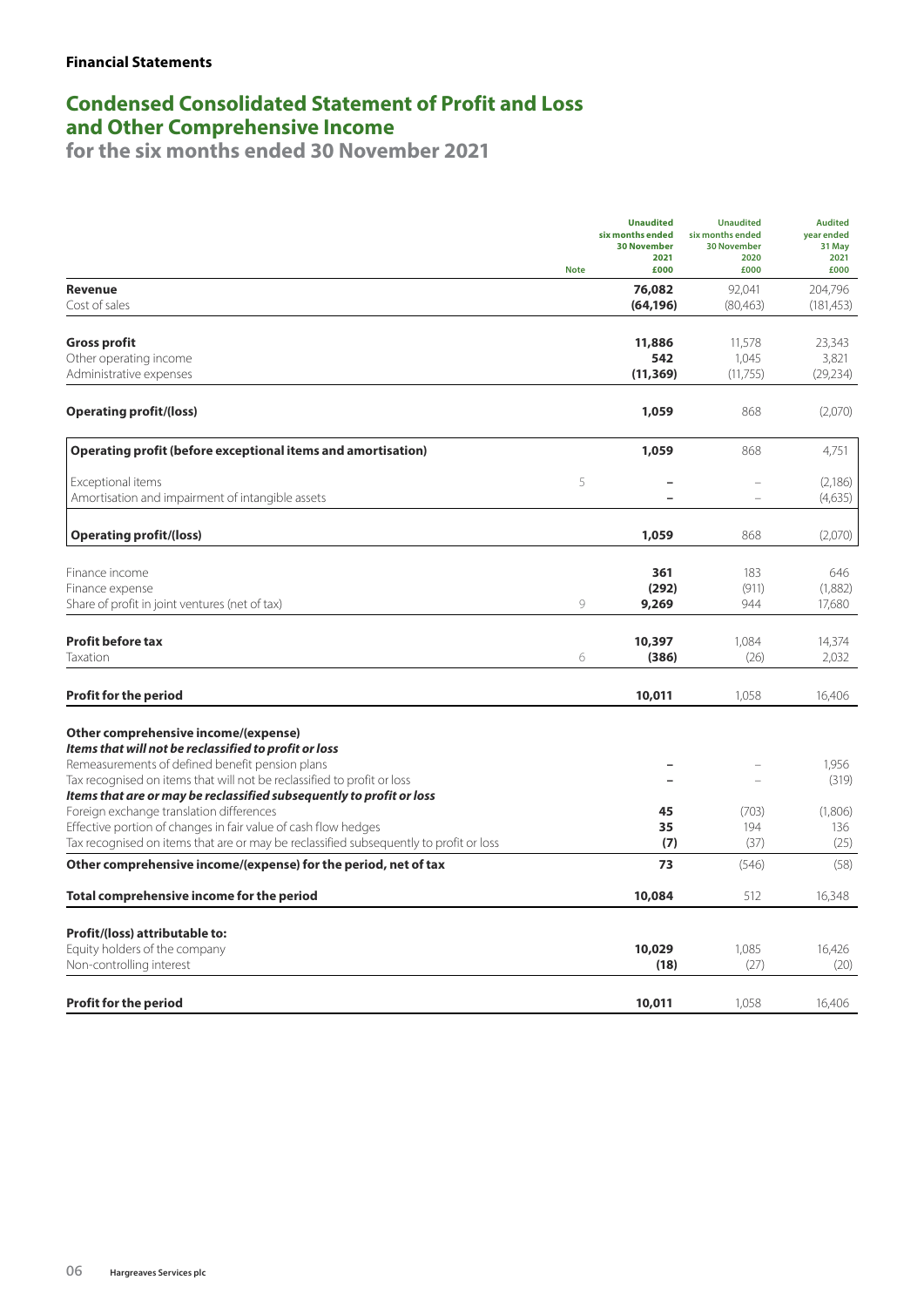## **Condensed Consolidated Statement of Profit and Loss and Other Comprehensive Income**

|                                                                                                                            | <b>Note</b> | <b>Unaudited</b><br>six months ended<br><b>30 November</b><br>2021<br>£000 | <b>Unaudited</b><br>six months ended<br><b>30 November</b><br>2020<br>£000 | <b>Audited</b><br>year ended<br>31 May<br>2021<br>£000 |
|----------------------------------------------------------------------------------------------------------------------------|-------------|----------------------------------------------------------------------------|----------------------------------------------------------------------------|--------------------------------------------------------|
| <b>Revenue</b>                                                                                                             |             | 76,082                                                                     | 92,041                                                                     | 204,796                                                |
| Cost of sales                                                                                                              |             | (64, 196)                                                                  | (80,463)                                                                   | (181, 453)                                             |
| <b>Gross profit</b>                                                                                                        |             | 11,886                                                                     | 11,578                                                                     | 23,343                                                 |
| Other operating income                                                                                                     |             | 542                                                                        | 1,045                                                                      | 3,821                                                  |
| Administrative expenses                                                                                                    |             | (11, 369)                                                                  | (11,755)                                                                   | (29, 234)                                              |
| <b>Operating profit/(loss)</b>                                                                                             |             | 1,059                                                                      | 868                                                                        | (2,070)                                                |
| Operating profit (before exceptional items and amortisation)                                                               |             | 1,059                                                                      | 868                                                                        | 4,751                                                  |
| Exceptional items                                                                                                          | 5           |                                                                            |                                                                            | (2,186)                                                |
| Amortisation and impairment of intangible assets                                                                           |             |                                                                            |                                                                            | (4,635)                                                |
| <b>Operating profit/(loss)</b>                                                                                             |             | 1,059                                                                      | 868                                                                        | (2,070)                                                |
| Finance income                                                                                                             |             | 361                                                                        | 183                                                                        | 646                                                    |
| Finance expense                                                                                                            |             | (292)                                                                      | (911)                                                                      | (1,882)                                                |
| Share of profit in joint ventures (net of tax)                                                                             | 9           | 9,269                                                                      | 944                                                                        | 17,680                                                 |
| <b>Profit before tax</b>                                                                                                   |             | 10,397                                                                     | 1,084                                                                      | 14,374                                                 |
| Taxation                                                                                                                   | 6           | (386)                                                                      | (26)                                                                       | 2,032                                                  |
| <b>Profit for the period</b>                                                                                               |             | 10,011                                                                     | 1,058                                                                      | 16,406                                                 |
| Other comprehensive income/(expense)                                                                                       |             |                                                                            |                                                                            |                                                        |
| Items that will not be reclassified to profit or loss                                                                      |             |                                                                            |                                                                            |                                                        |
| Remeasurements of defined benefit pension plans<br>Tax recognised on items that will not be reclassified to profit or loss |             |                                                                            |                                                                            | 1,956<br>(319)                                         |
| Items that are or may be reclassified subsequently to profit or loss                                                       |             |                                                                            |                                                                            |                                                        |
| Foreign exchange translation differences                                                                                   |             | 45                                                                         | (703)                                                                      | (1,806)                                                |
| Effective portion of changes in fair value of cash flow hedges                                                             |             | 35                                                                         | 194                                                                        | 136                                                    |
| Tax recognised on items that are or may be reclassified subsequently to profit or loss                                     |             | (7)                                                                        | (37)                                                                       | (25)                                                   |
| Other comprehensive income/(expense) for the period, net of tax                                                            |             | 73                                                                         | (546)                                                                      | (58)                                                   |
| Total comprehensive income for the period                                                                                  |             | 10,084                                                                     | 512                                                                        | 16,348                                                 |
| Profit/(loss) attributable to:                                                                                             |             |                                                                            |                                                                            |                                                        |
| Equity holders of the company                                                                                              |             | 10,029                                                                     | 1,085                                                                      | 16,426                                                 |
| Non-controlling interest                                                                                                   |             | (18)                                                                       | (27)                                                                       | (20)                                                   |
| <b>Profit for the period</b>                                                                                               |             | 10,011                                                                     | 1,058                                                                      | 16,406                                                 |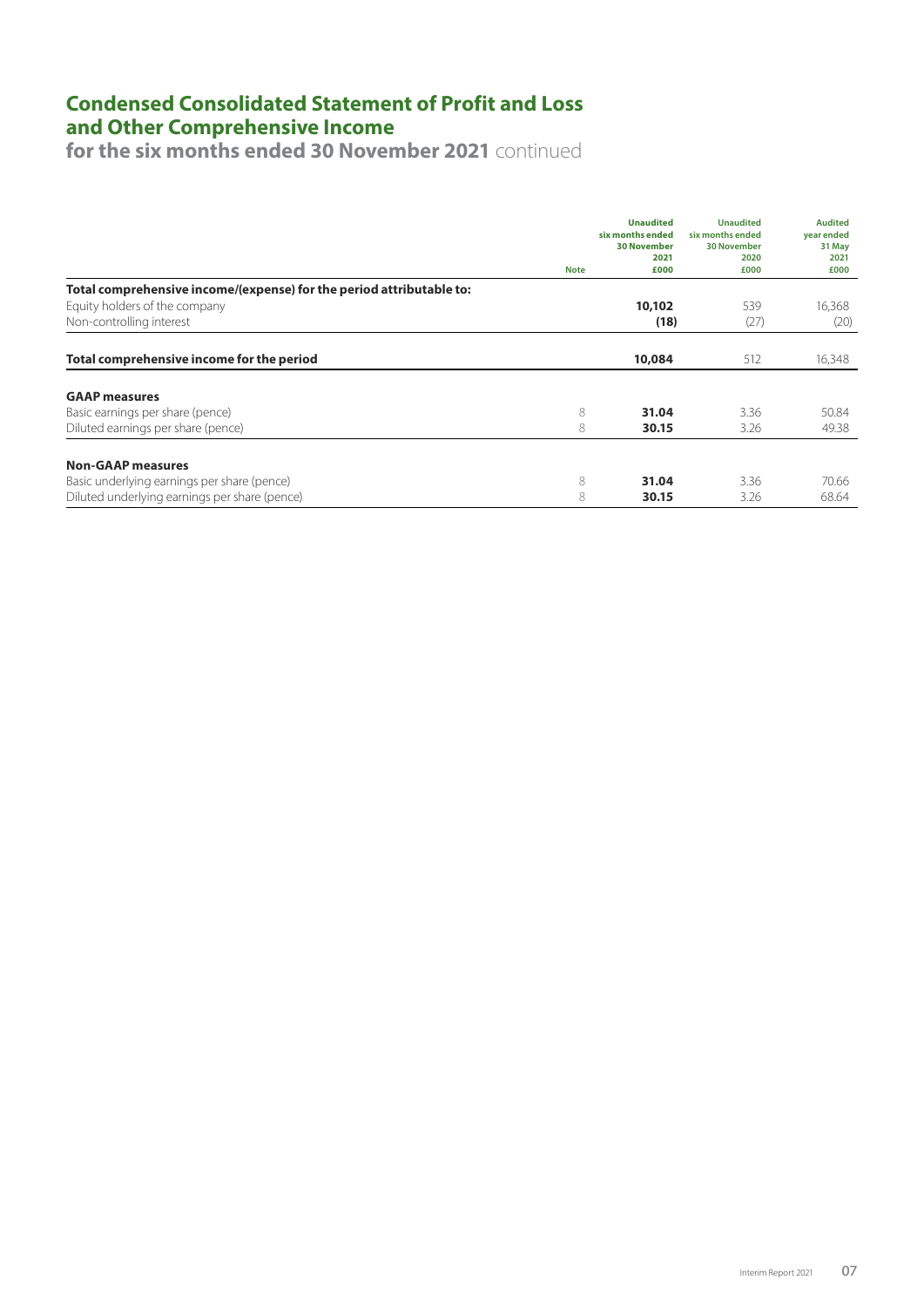## **Condensed Consolidated Statement of Profit and Loss and Other Comprehensive Income**

**for the six months ended 30 November 2021** continued

|                                                                      | <b>Note</b> | <b>Unaudited</b><br>six months ended<br><b>30 November</b><br>2021<br>£000 | <b>Unaudited</b><br>six months ended<br><b>30 November</b><br>2020<br>£000 | <b>Audited</b><br>year ended<br>31 May<br>2021<br>£000 |
|----------------------------------------------------------------------|-------------|----------------------------------------------------------------------------|----------------------------------------------------------------------------|--------------------------------------------------------|
| Total comprehensive income/(expense) for the period attributable to: |             |                                                                            |                                                                            |                                                        |
| Equity holders of the company                                        |             | 10,102                                                                     | 539                                                                        | 16,368                                                 |
| Non-controlling interest                                             |             | (18)                                                                       | (27)                                                                       | (20)                                                   |
| Total comprehensive income for the period                            |             | 10,084                                                                     | 512                                                                        | 16,348                                                 |
|                                                                      |             |                                                                            |                                                                            |                                                        |
| <b>GAAP</b> measures                                                 |             |                                                                            |                                                                            |                                                        |
| Basic earnings per share (pence)                                     | 8           | 31.04                                                                      | 3.36                                                                       | 50.84                                                  |
| Diluted earnings per share (pence)                                   | 8           | 30.15                                                                      | 3.26                                                                       | 49.38                                                  |
| <b>Non-GAAP measures</b>                                             |             |                                                                            |                                                                            |                                                        |
| Basic underlying earnings per share (pence)                          | 8           | 31.04                                                                      | 3.36                                                                       | 70.66                                                  |
| Diluted underlying earnings per share (pence)                        | 8           | 30.15                                                                      | 3.26                                                                       | 68.64                                                  |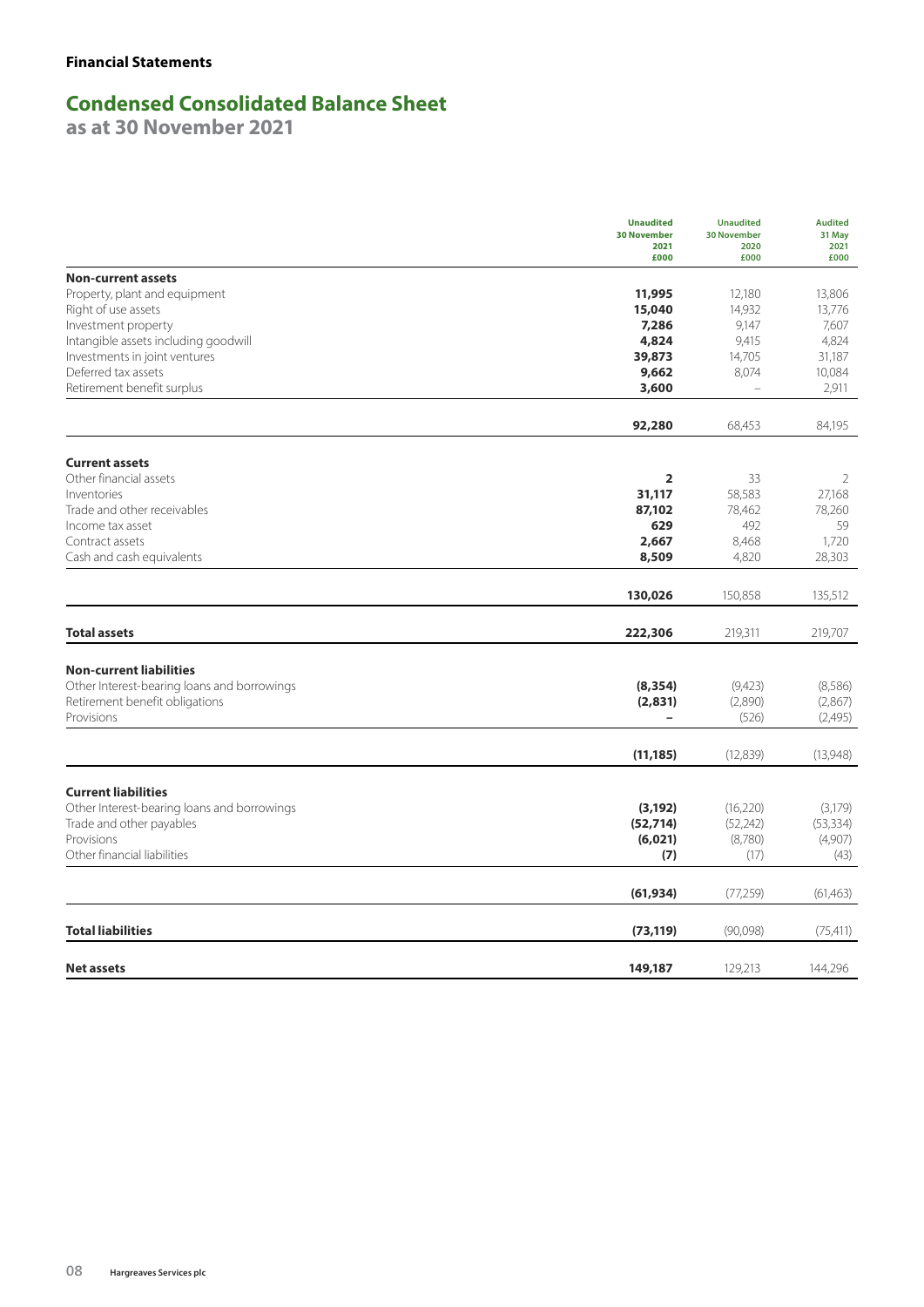## **Condensed Consolidated Balance Sheet**

**as at 30 November 2021**

|                                              | <b>Unaudited</b><br><b>30 November</b><br>2021<br>£000 | <b>Unaudited</b><br><b>30 November</b><br>2020<br>£000 | <b>Audited</b><br>31 May<br>2021<br>£000 |
|----------------------------------------------|--------------------------------------------------------|--------------------------------------------------------|------------------------------------------|
| <b>Non-current assets</b>                    |                                                        |                                                        |                                          |
| Property, plant and equipment                | 11,995                                                 | 12,180                                                 | 13,806                                   |
| Right of use assets                          | 15,040                                                 | 14,932                                                 | 13,776                                   |
| Investment property                          | 7,286                                                  | 9,147                                                  | 7,607                                    |
| Intangible assets including goodwill         | 4,824                                                  | 9,415                                                  | 4,824                                    |
| Investments in joint ventures                | 39,873                                                 | 14,705                                                 | 31,187                                   |
| Deferred tax assets                          | 9,662                                                  | 8,074                                                  | 10,084                                   |
| Retirement benefit surplus                   | 3,600                                                  | $\overline{\phantom{0}}$                               | 2,911                                    |
|                                              | 92,280                                                 | 68,453                                                 | 84,195                                   |
| <b>Current assets</b>                        |                                                        |                                                        |                                          |
| Other financial assets                       | 2                                                      | 33                                                     | 2                                        |
| Inventories                                  | 31,117                                                 | 58,583                                                 | 27,168                                   |
| Trade and other receivables                  | 87,102                                                 | 78,462                                                 | 78,260                                   |
| Income tax asset                             | 629                                                    | 492                                                    | 59                                       |
| Contract assets                              | 2,667                                                  | 8,468                                                  | 1,720                                    |
| Cash and cash equivalents                    | 8,509                                                  | 4,820                                                  | 28,303                                   |
|                                              | 130,026                                                | 150,858                                                | 135,512                                  |
| <b>Total assets</b>                          | 222,306                                                | 219,311                                                | 219,707                                  |
|                                              |                                                        |                                                        |                                          |
| <b>Non-current liabilities</b>               |                                                        |                                                        |                                          |
| Other Interest-bearing loans and borrowings  | (8, 354)                                               | (9,423)                                                | (8,586)                                  |
| Retirement benefit obligations<br>Provisions | (2,831)<br>$\overline{\phantom{0}}$                    | (2,890)<br>(526)                                       | (2,867)<br>(2,495)                       |
|                                              |                                                        |                                                        |                                          |
|                                              | (11, 185)                                              | (12,839)                                               | (13,948)                                 |
| <b>Current liabilities</b>                   |                                                        |                                                        |                                          |
| Other Interest-bearing loans and borrowings  | (3, 192)                                               | (16, 220)                                              | (3,179)                                  |
| Trade and other payables                     | (52, 714)                                              | (52, 242)                                              | (53, 334)                                |
| Provisions                                   | (6,021)                                                | (8,780)                                                | (4,907)                                  |
| Other financial liabilities                  | (7)                                                    | (17)                                                   | (43)                                     |
|                                              | (61, 934)                                              | (77,259)                                               | (61, 463)                                |
| <b>Total liabilities</b>                     | (73, 119)                                              | (90,098)                                               | (75, 411)                                |
| Net assets                                   | 149,187                                                | 129,213                                                | 144,296                                  |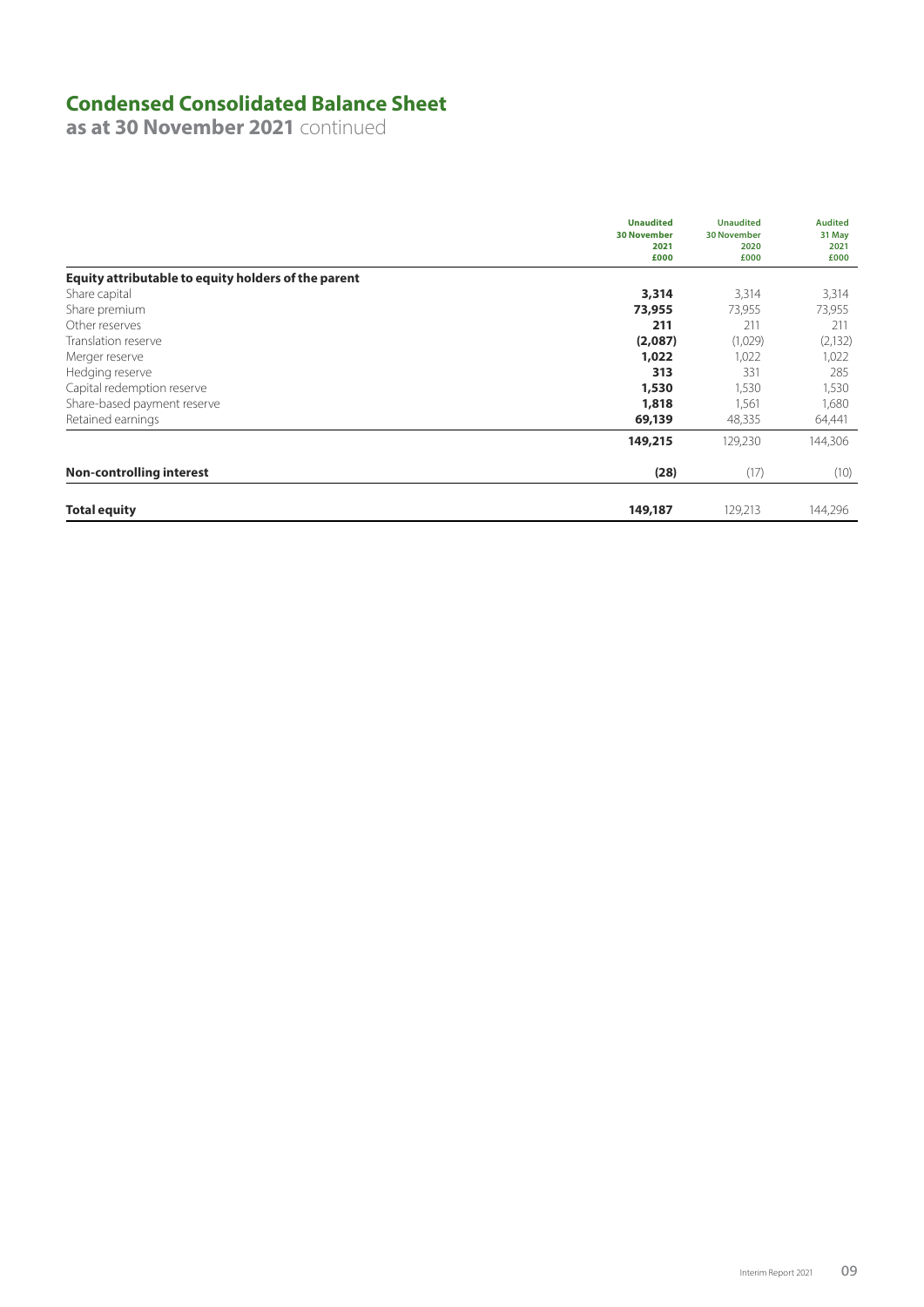## **Condensed Consolidated Balance Sheet**

**as at 30 November 2021** continued

|                                                     | <b>Unaudited</b><br><b>30 November</b><br>2021<br>£000 | <b>Unaudited</b><br><b>30 November</b><br>2020<br>£000 | <b>Audited</b><br>31 May<br>2021<br>£000 |
|-----------------------------------------------------|--------------------------------------------------------|--------------------------------------------------------|------------------------------------------|
| Equity attributable to equity holders of the parent |                                                        |                                                        |                                          |
| Share capital                                       | 3,314                                                  | 3,314                                                  | 3,314                                    |
| Share premium                                       | 73,955                                                 | 73,955                                                 | 73,955                                   |
| Other reserves                                      | 211                                                    | 211                                                    | 211                                      |
| Translation reserve                                 | (2,087)                                                | (1,029)                                                | (2, 132)                                 |
| Merger reserve                                      | 1,022                                                  | 1,022                                                  | 1,022                                    |
| Hedging reserve                                     | 313                                                    | 331                                                    | 285                                      |
| Capital redemption reserve                          | 1,530                                                  | 1,530                                                  | 1,530                                    |
| Share-based payment reserve                         | 1,818                                                  | 1,561                                                  | 1,680                                    |
| Retained earnings                                   | 69,139                                                 | 48,335                                                 | 64,441                                   |
|                                                     | 149,215                                                | 129,230                                                | 144,306                                  |
| <b>Non-controlling interest</b>                     | (28)                                                   | (17)                                                   | (10)                                     |
| <b>Total equity</b>                                 | 149,187                                                | 129,213                                                | 144,296                                  |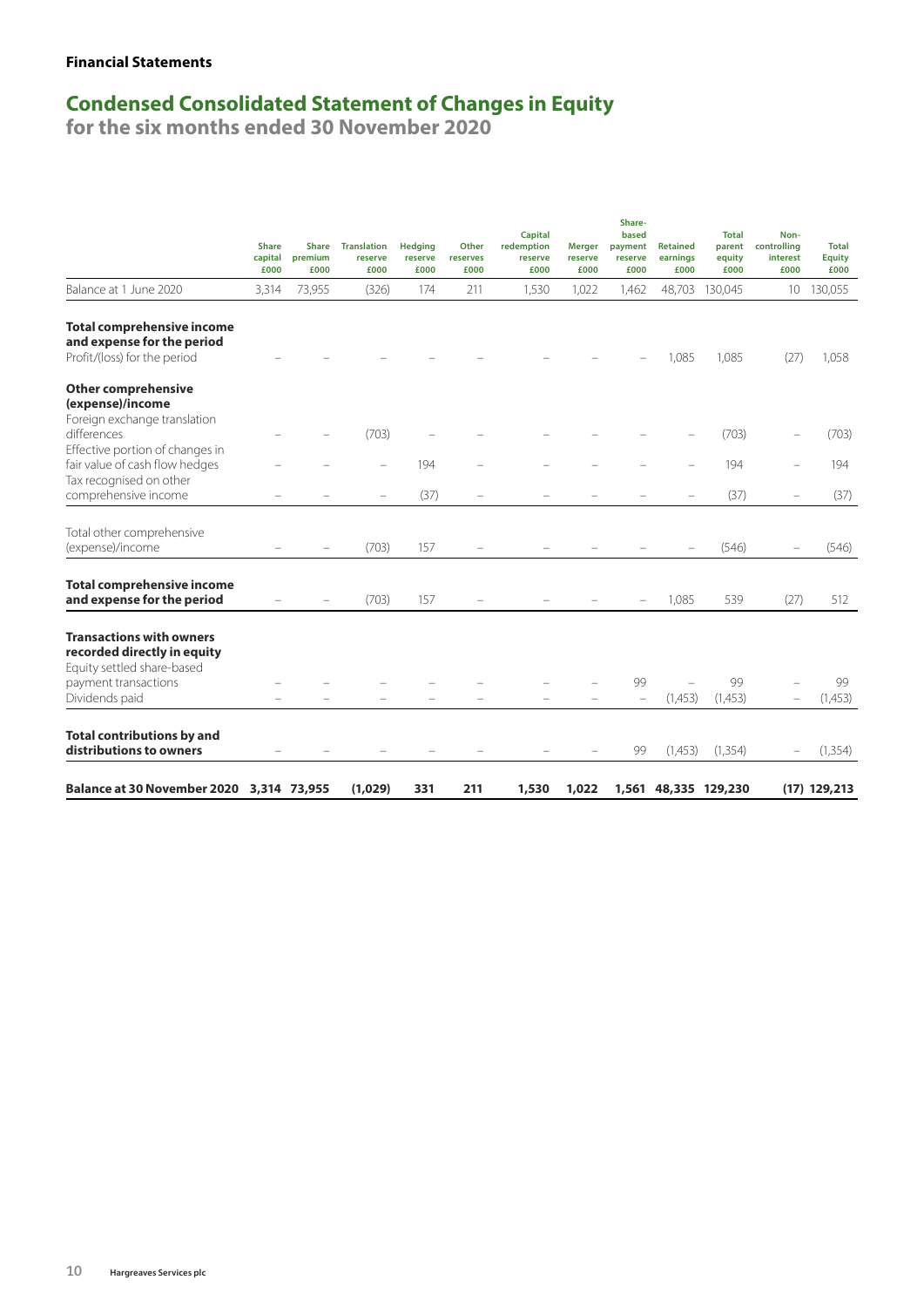### **Financial Statements**

### **Condensed Consolidated Statement of Changes in Equity**

|                                                                                                 | <b>Share</b><br>capital<br>£000 | <b>Share</b><br>premium<br>£000 | <b>Translation</b><br>reserve<br>£000 | <b>Hedging</b><br>reserve<br>£000 | Other<br>reserves<br>£000 | <b>Capital</b><br>redemption<br>reserve<br>£000 | <b>Merger</b><br>reserve<br>£000 | Share-<br>based<br>payment<br>reserve<br>£000 | <b>Retained</b><br>earnings<br>£000 | <b>Total</b><br>parent<br>equity<br>£000 | Non-<br>controlling<br>interest<br>£000 | <b>Total</b><br><b>Equity</b><br>£000 |
|-------------------------------------------------------------------------------------------------|---------------------------------|---------------------------------|---------------------------------------|-----------------------------------|---------------------------|-------------------------------------------------|----------------------------------|-----------------------------------------------|-------------------------------------|------------------------------------------|-----------------------------------------|---------------------------------------|
| Balance at 1 June 2020                                                                          | 3,314                           | 73,955                          | (326)                                 | 174                               | 211                       | 1,530                                           | 1,022                            | 1,462                                         |                                     | 48,703 130,045                           |                                         | 10 130,055                            |
| <b>Total comprehensive income</b><br>and expense for the period<br>Profit/(loss) for the period |                                 |                                 |                                       |                                   |                           |                                                 |                                  |                                               | 1,085                               | 1,085                                    | (27)                                    | 1,058                                 |
| <b>Other comprehensive</b><br>(expense)/income<br>Foreign exchange translation                  |                                 |                                 |                                       |                                   |                           |                                                 |                                  |                                               |                                     |                                          |                                         |                                       |
| differences                                                                                     |                                 |                                 | (703)                                 |                                   |                           |                                                 |                                  |                                               |                                     | (703)                                    |                                         | (703)                                 |
| Effective portion of changes in<br>fair value of cash flow hedges<br>Tax recognised on other    |                                 |                                 | $\overline{\phantom{0}}$              | 194                               |                           |                                                 |                                  |                                               |                                     | 194                                      |                                         | 194                                   |
| comprehensive income                                                                            |                                 |                                 | $\overline{\phantom{0}}$              | (37)                              |                           |                                                 |                                  |                                               |                                     | (37)                                     |                                         | (37)                                  |
| Total other comprehensive<br>(expense)/income                                                   |                                 |                                 | (703)                                 | 157                               |                           |                                                 |                                  |                                               |                                     | (546)                                    |                                         | (546)                                 |
| <b>Total comprehensive income</b><br>and expense for the period                                 |                                 |                                 | (703)                                 | 157                               |                           |                                                 |                                  |                                               | 1,085                               | 539                                      | (27)                                    | 512                                   |
| <b>Transactions with owners</b><br>recorded directly in equity<br>Equity settled share-based    |                                 |                                 |                                       |                                   |                           |                                                 |                                  |                                               |                                     |                                          |                                         |                                       |
| payment transactions<br>Dividends paid                                                          |                                 |                                 |                                       |                                   |                           |                                                 |                                  | 99<br>$\qquad \qquad -$                       | (1,453)                             | 99<br>(1,453)                            |                                         | 99<br>(1,453)                         |
| <b>Total contributions by and</b><br>distributions to owners                                    |                                 |                                 |                                       |                                   |                           |                                                 |                                  | 99                                            | (1,453)                             | (1, 354)                                 |                                         | (1, 354)                              |
| Balance at 30 November 2020 3,314 73,955                                                        |                                 |                                 | (1,029)                               | 331                               | 211                       | 1,530                                           | 1,022                            |                                               |                                     | 1,561 48,335 129,230                     |                                         | $(17)$ 129,213                        |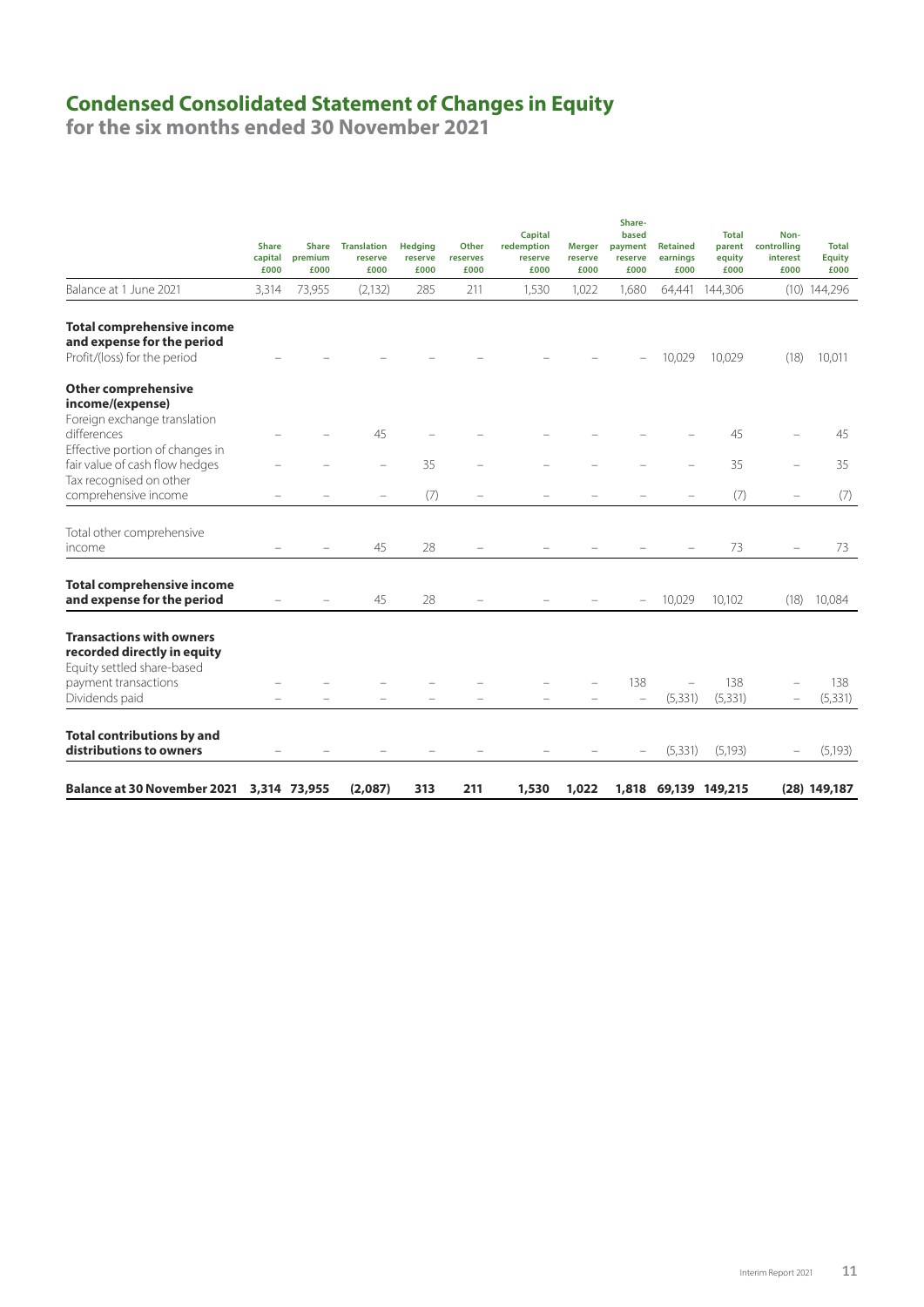### **Condensed Consolidated Statement of Changes in Equity**

|                                                                                                 | <b>Share</b><br>capital<br>£000 | <b>Share</b><br>premium<br>£000 | <b>Translation</b><br>reserve<br>£000 | <b>Hedging</b><br>reserve<br>£000 | Other<br>reserves<br>£000 | <b>Capital</b><br>redemption<br>reserve<br>£000 | <b>Merger</b><br>reserve<br>£000 | Share-<br>based<br>payment<br>reserve<br>£000 | <b>Retained</b><br>earnings<br>£000 | <b>Total</b><br>parent<br>equity<br>£000 | Non-<br>controlling<br>interest<br>£000 | <b>Total</b><br><b>Equity</b><br>£000 |
|-------------------------------------------------------------------------------------------------|---------------------------------|---------------------------------|---------------------------------------|-----------------------------------|---------------------------|-------------------------------------------------|----------------------------------|-----------------------------------------------|-------------------------------------|------------------------------------------|-----------------------------------------|---------------------------------------|
| Balance at 1 June 2021                                                                          | 3,314                           | 73,955                          | (2, 132)                              | 285                               | 211                       | 1,530                                           | 1,022                            | 1,680                                         |                                     | 64,441 144,306                           |                                         | $(10)$ 144,296                        |
| <b>Total comprehensive income</b><br>and expense for the period<br>Profit/(loss) for the period |                                 |                                 |                                       |                                   |                           |                                                 |                                  |                                               | 10,029                              | 10,029                                   | (18)                                    | 10,011                                |
| <b>Other comprehensive</b><br>income/(expense)                                                  |                                 |                                 |                                       |                                   |                           |                                                 |                                  |                                               |                                     |                                          |                                         |                                       |
| Foreign exchange translation<br>differences                                                     |                                 |                                 | 45                                    |                                   |                           |                                                 |                                  |                                               |                                     | 45                                       |                                         | 45                                    |
| Effective portion of changes in<br>fair value of cash flow hedges<br>Tax recognised on other    |                                 |                                 |                                       | 35                                |                           |                                                 |                                  |                                               |                                     | 35                                       |                                         | 35                                    |
| comprehensive income                                                                            |                                 |                                 |                                       | (7)                               |                           |                                                 |                                  |                                               |                                     | (7)                                      |                                         | (7)                                   |
| Total other comprehensive<br>income                                                             |                                 |                                 | 45                                    | 28                                |                           |                                                 |                                  |                                               |                                     | 73                                       |                                         | 73                                    |
| <b>Total comprehensive income</b><br>and expense for the period                                 |                                 |                                 | 45                                    | 28                                |                           |                                                 |                                  | $\overline{\phantom{0}}$                      | 10,029                              | 10,102                                   | (18)                                    | 10,084                                |
| <b>Transactions with owners</b><br>recorded directly in equity<br>Equity settled share-based    |                                 |                                 |                                       |                                   |                           |                                                 |                                  |                                               |                                     |                                          |                                         |                                       |
| payment transactions<br>Dividends paid                                                          |                                 |                                 |                                       |                                   |                           |                                                 |                                  | 138<br>$\overline{\phantom{0}}$               | (5, 331)                            | 138<br>(5, 331)                          |                                         | 138<br>(5, 331)                       |
| <b>Total contributions by and</b><br>distributions to owners                                    |                                 |                                 |                                       |                                   |                           |                                                 |                                  |                                               | (5, 331)                            | (5, 193)                                 |                                         | (5, 193)                              |
| Balance at 30 November 2021 3,314 73,955                                                        |                                 |                                 | (2,087)                               | 313                               | 211                       | 1,530                                           | 1,022                            |                                               |                                     | 1,818 69,139 149,215                     |                                         | $(28)$ 149,187                        |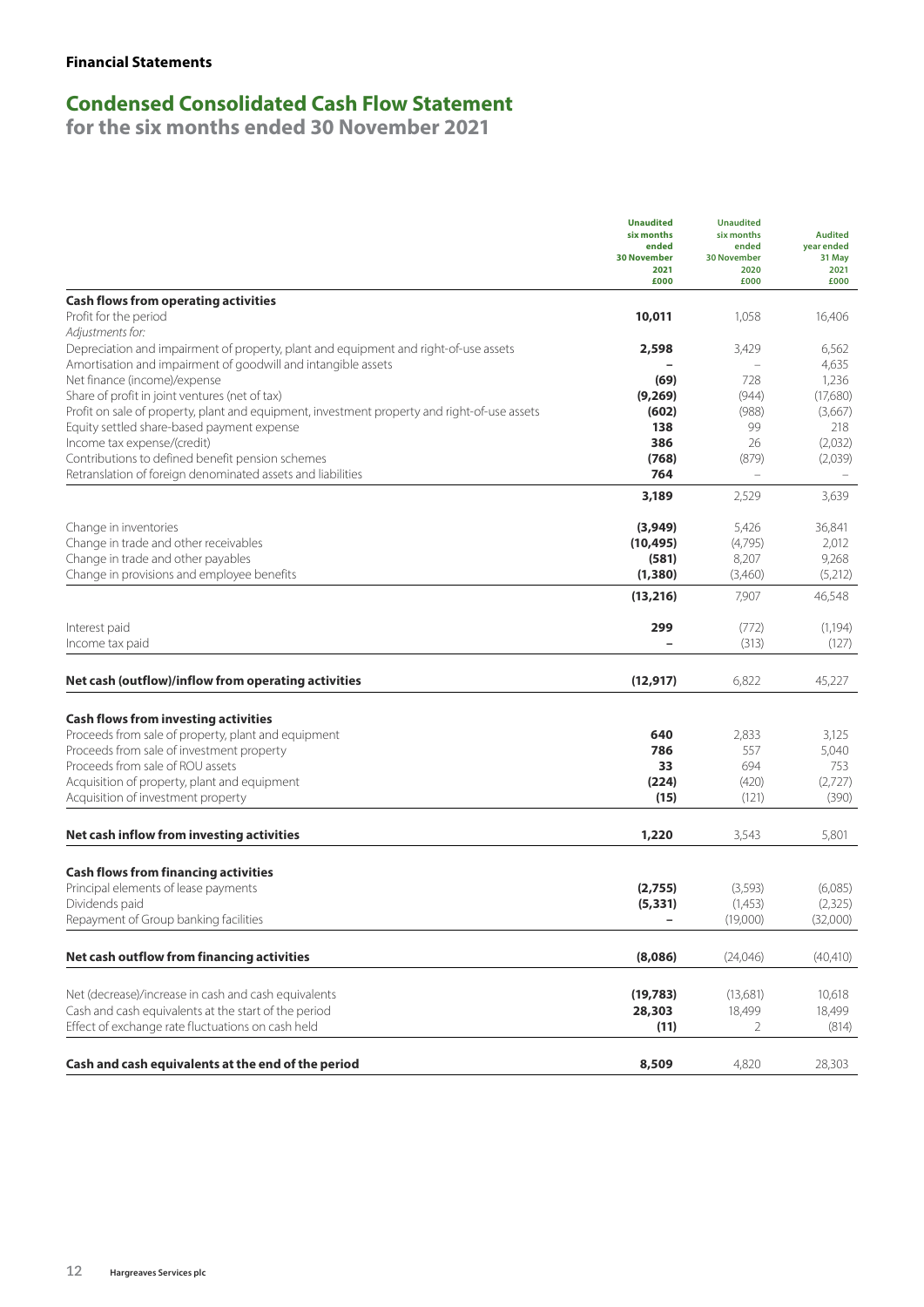## **Condensed Consolidated Cash Flow Statement**

|                                                                                                           | <b>Unaudited</b><br>six months<br>ended<br><b>30 November</b><br>2021<br>£000 | <b>Unaudited</b><br>six months<br>ended<br><b>30 November</b><br>2020<br>£000 | <b>Audited</b><br>year ended<br>31 May<br>2021<br>£000 |
|-----------------------------------------------------------------------------------------------------------|-------------------------------------------------------------------------------|-------------------------------------------------------------------------------|--------------------------------------------------------|
| <b>Cash flows from operating activities</b>                                                               |                                                                               |                                                                               |                                                        |
| Profit for the period<br>Adjustments for:                                                                 | 10,011                                                                        | 1,058                                                                         | 16,406                                                 |
| Depreciation and impairment of property, plant and equipment and right-of-use assets                      | 2,598                                                                         | 3,429                                                                         | 6,562                                                  |
| Amortisation and impairment of goodwill and intangible assets                                             |                                                                               |                                                                               | 4,635                                                  |
| Net finance (income)/expense                                                                              | (69)                                                                          | 728                                                                           | 1,236                                                  |
| Share of profit in joint ventures (net of tax)                                                            | (9,269)                                                                       | (944)                                                                         | (17,680)                                               |
| Profit on sale of property, plant and equipment, investment property and right-of-use assets              | (602)                                                                         | (988)                                                                         | (3,667)                                                |
| Equity settled share-based payment expense                                                                | 138                                                                           | 99                                                                            | 218                                                    |
| Income tax expense/(credit)                                                                               | 386                                                                           | 26                                                                            | (2,032)                                                |
| Contributions to defined benefit pension schemes                                                          | (768)                                                                         | (879)                                                                         | (2,039)                                                |
| Retranslation of foreign denominated assets and liabilities                                               | 764                                                                           | $\overline{\phantom{0}}$                                                      |                                                        |
|                                                                                                           | 3,189                                                                         | 2,529                                                                         | 3,639                                                  |
| Change in inventories                                                                                     | (3,949)                                                                       | 5,426                                                                         | 36,841                                                 |
| Change in trade and other receivables                                                                     | (10, 495)                                                                     | (4,795)                                                                       | 2,012                                                  |
| Change in trade and other payables                                                                        | (581)                                                                         | 8,207                                                                         | 9,268                                                  |
| Change in provisions and employee benefits                                                                | (1, 380)                                                                      | (3,460)                                                                       | (5,212)                                                |
|                                                                                                           | (13, 216)                                                                     | 7,907                                                                         | 46,548                                                 |
| Interest paid                                                                                             | 299                                                                           | (772)                                                                         | (1, 194)                                               |
| Income tax paid                                                                                           |                                                                               | (313)                                                                         | (127)                                                  |
| Net cash (outflow)/inflow from operating activities                                                       | (12, 917)                                                                     | 6,822                                                                         | 45,227                                                 |
|                                                                                                           |                                                                               |                                                                               |                                                        |
|                                                                                                           |                                                                               |                                                                               |                                                        |
| <b>Cash flows from investing activities</b><br>Proceeds from sale of property, plant and equipment        | 640                                                                           | 2,833                                                                         | 3,125                                                  |
| Proceeds from sale of investment property                                                                 | 786                                                                           | 557                                                                           | 5,040                                                  |
| Proceeds from sale of ROU assets                                                                          | 33                                                                            | 694                                                                           | 753                                                    |
| Acquisition of property, plant and equipment                                                              | (224)                                                                         | (420)                                                                         | (2,727)                                                |
| Acquisition of investment property                                                                        | (15)                                                                          | (121)                                                                         | (390)                                                  |
|                                                                                                           |                                                                               |                                                                               |                                                        |
| Net cash inflow from investing activities                                                                 | 1,220                                                                         | 3,543                                                                         | 5,801                                                  |
| <b>Cash flows from financing activities</b>                                                               |                                                                               |                                                                               |                                                        |
| Principal elements of lease payments                                                                      | (2,755)                                                                       | (3, 593)                                                                      | (6,085)                                                |
| Dividends paid                                                                                            | (5, 331)                                                                      | (1,453)                                                                       | (2, 325)                                               |
| Repayment of Group banking facilities                                                                     |                                                                               | (19,000)                                                                      | (32,000)                                               |
| Net cash outflow from financing activities                                                                | (8,086)                                                                       | (24,046)                                                                      | (40, 410)                                              |
|                                                                                                           |                                                                               |                                                                               |                                                        |
| Net (decrease)/increase in cash and cash equivalents                                                      | (19, 783)                                                                     | (13,681)                                                                      | 10,618                                                 |
| Cash and cash equivalents at the start of the period<br>Effect of exchange rate fluctuations on cash held | 28,303<br>(11)                                                                | 18,499<br>2                                                                   | 18,499<br>(814)                                        |
|                                                                                                           |                                                                               |                                                                               |                                                        |
| Cash and cash equivalents at the end of the period                                                        | 8,509                                                                         | 4,820                                                                         | 28,303                                                 |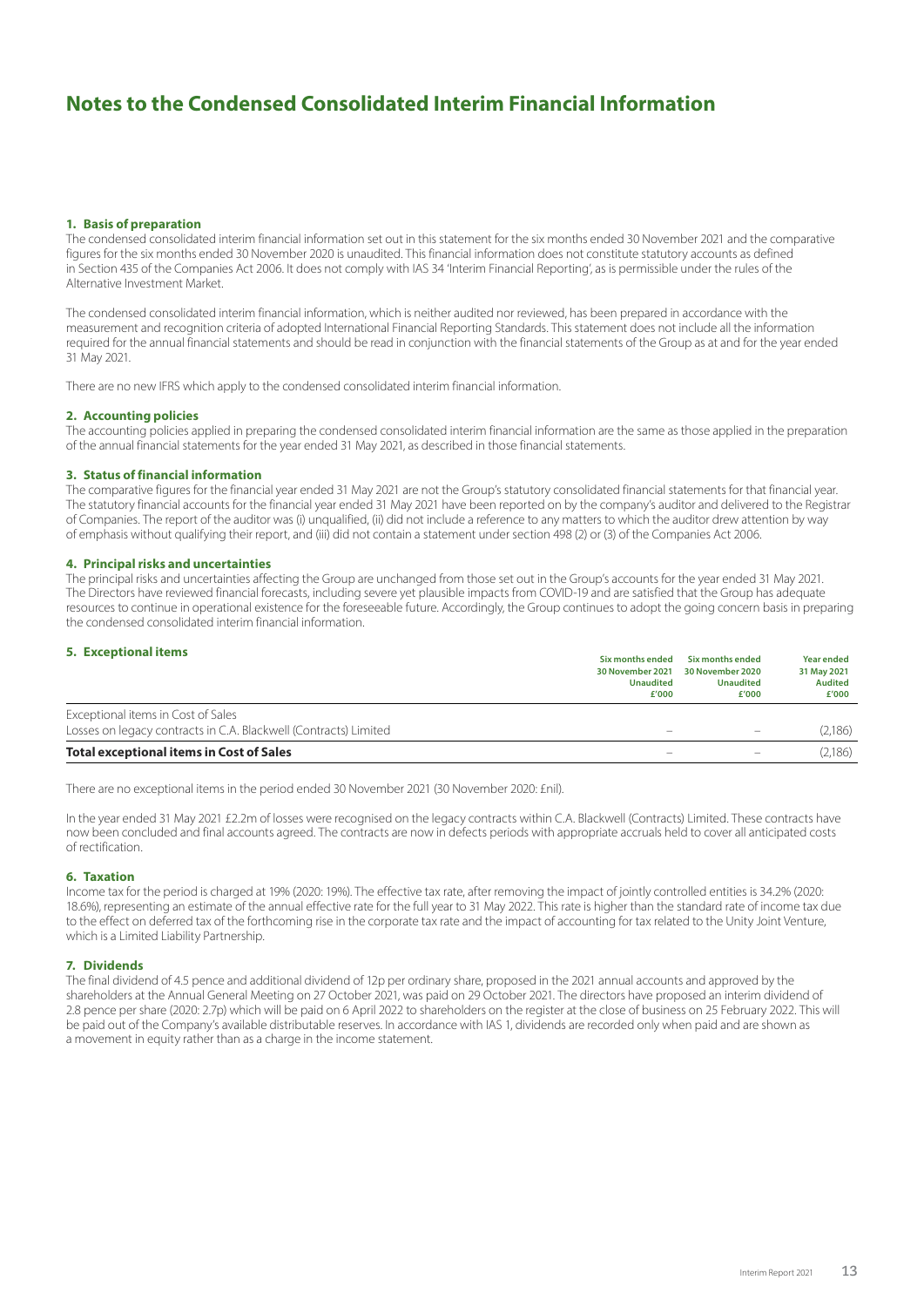## **Notes to the Condensed Consolidated Interim Financial Information**

### **1. Basis of preparation**

The condensed consolidated interim financial information set out in this statement for the six months ended 30 November 2021 and the comparative figures for the six months ended 30 November 2020 is unaudited. This financial information does not constitute statutory accounts as defined in Section 435 of the Companies Act 2006. It does not comply with IAS 34 'Interim Financial Reporting', as is permissible under the rules of the Alternative Investment Market.

The condensed consolidated interim financial information, which is neither audited nor reviewed, has been prepared in accordance with the measurement and recognition criteria of adopted International Financial Reporting Standards. This statement does not include all the information required for the annual financial statements and should be read in conjunction with the financial statements of the Group as at and for the year ended 31 May 2021.

There are no new IFRS which apply to the condensed consolidated interim financial information.

### **2. Accounting policies**

The accounting policies applied in preparing the condensed consolidated interim financial information are the same as those applied in the preparation of the annual financial statements for the year ended 31 May 2021, as described in those financial statements.

### **3. Status of financial information**

The comparative figures for the financial year ended 31 May 2021 are not the Group's statutory consolidated financial statements for that financial year. The statutory financial accounts for the financial year ended 31 May 2021 have been reported on by the company's auditor and delivered to the Registrar of Companies. The report of the auditor was (i) unqualified, (ii) did not include a reference to any matters to which the auditor drew attention by way of emphasis without qualifying their report, and (iii) did not contain a statement under section 498 (2) or (3) of the Companies Act 2006.

### **4. Principal risks and uncertainties**

The principal risks and uncertainties affecting the Group are unchanged from those set out in the Group's accounts for the year ended 31 May 2021. The Directors have reviewed financial forecasts, including severe yet plausible impacts from COVID-19 and are satisfied that the Group has adequate resources to continue in operational existence for the foreseeable future. Accordingly, the Group continues to adopt the going concern basis in preparing the condensed consolidated interim financial information.

| <b>5. Exceptional items</b>                                                                            | Six months ended<br>30 November 2021<br><b>Unaudited</b><br>£'000 | Six months ended<br>30 November 2020<br><b>Unaudited</b><br>£'000 | <b>Year ended</b><br>31 May 2021<br><b>Audited</b><br>£'000 |
|--------------------------------------------------------------------------------------------------------|-------------------------------------------------------------------|-------------------------------------------------------------------|-------------------------------------------------------------|
| Exceptional items in Cost of Sales<br>Losses on legacy contracts in C.A. Blackwell (Contracts) Limited |                                                                   |                                                                   | (2,186)                                                     |
| <b>Total exceptional items in Cost of Sales</b>                                                        |                                                                   |                                                                   | (2,186)                                                     |

There are no exceptional items in the period ended 30 November 2021 (30 November 2020: £nil).

In the year ended 31 May 2021 £2.2m of losses were recognised on the legacy contracts within C.A. Blackwell (Contracts) Limited. These contracts have now been concluded and final accounts agreed. The contracts are now in defects periods with appropriate accruals held to cover all anticipated costs of rectification.

### **6. Taxation**

Income tax for the period is charged at 19% (2020: 19%). The effective tax rate, after removing the impact of jointly controlled entities is 34.2% (2020: 18.6%), representing an estimate of the annual effective rate for the full year to 31 May 2022. This rate is higher than the standard rate of income tax due to the effect on deferred tax of the forthcoming rise in the corporate tax rate and the impact of accounting for tax related to the Unity Joint Venture, which is a Limited Liability Partnership.

### **7. Dividends**

The final dividend of 4.5 pence and additional dividend of 12p per ordinary share, proposed in the 2021 annual accounts and approved by the shareholders at the Annual General Meeting on 27 October 2021, was paid on 29 October 2021. The directors have proposed an interim dividend of 2.8 pence per share (2020: 2.7p) which will be paid on 6 April 2022 to shareholders on the register at the close of business on 25 February 2022. This will be paid out of the Company's available distributable reserves. In accordance with IAS 1, dividends are recorded only when paid and are shown as a movement in equity rather than as a charge in the income statement.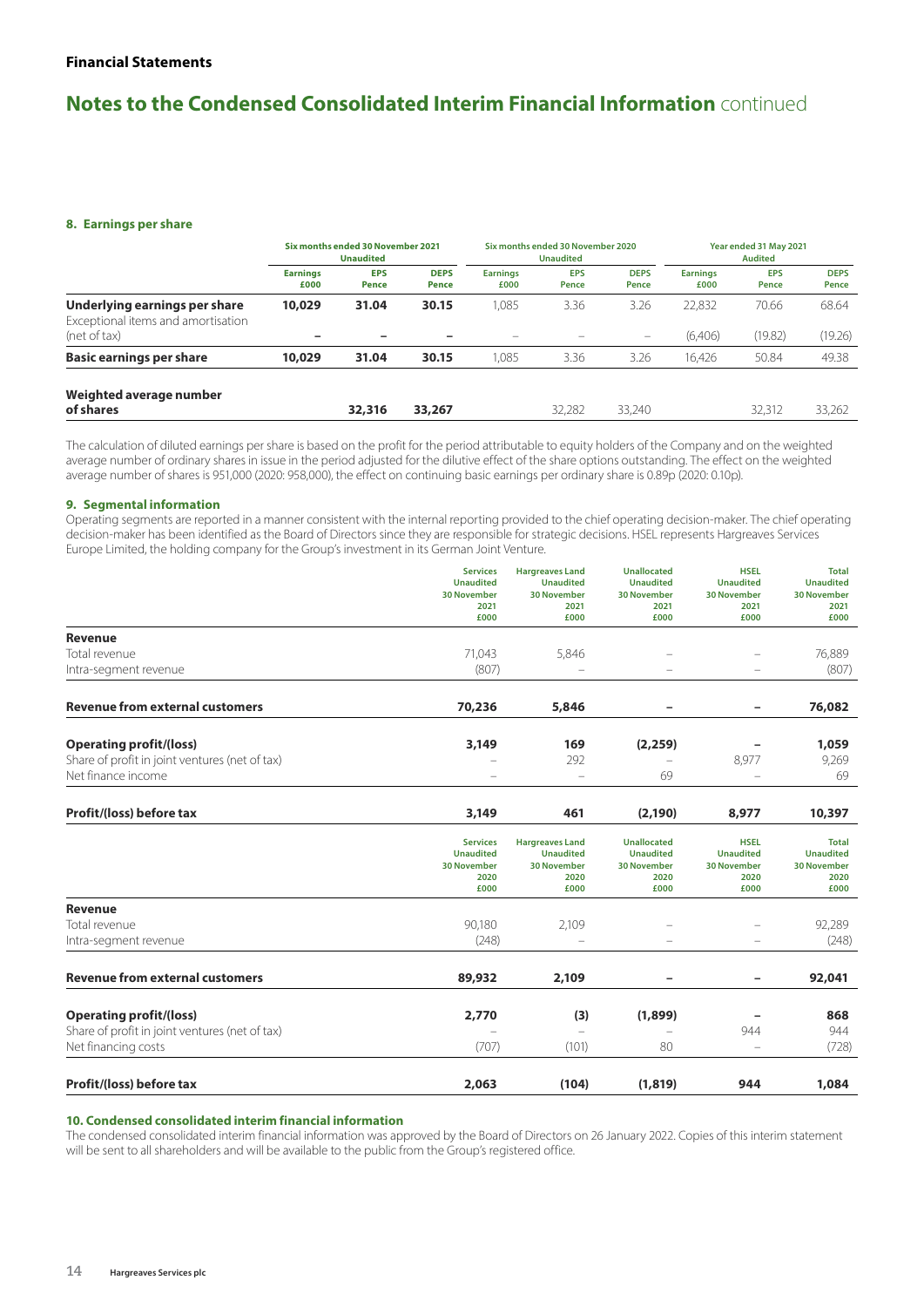## **Notes to the Condensed Consolidated Interim Financial Information** continued

### **8. Earnings per share**

|                                                                     | Six months ended 30 November 2021<br><b>Unaudited</b> |                     | Six months ended 30 November 2020<br><b>Unaudited</b> |                         |                     | Year ended 31 May 2021<br><b>Audited</b> |                         |                     |                      |
|---------------------------------------------------------------------|-------------------------------------------------------|---------------------|-------------------------------------------------------|-------------------------|---------------------|------------------------------------------|-------------------------|---------------------|----------------------|
|                                                                     | <b>Earnings</b><br>£000                               | <b>EPS</b><br>Pence | <b>DEPS</b><br>Pence                                  | <b>Earnings</b><br>£000 | <b>EPS</b><br>Pence | <b>DEPS</b><br>Pence                     | <b>Earnings</b><br>£000 | <b>EPS</b><br>Pence | <b>DEPS</b><br>Pence |
| Underlying earnings per share<br>Exceptional items and amortisation | 10,029                                                | 31.04               | 30.15                                                 | 1.085                   | 3.36                | 3.26                                     | 22.832                  | 70.66<br>(19.82)    | 68.64                |
| (net of tax)                                                        |                                                       |                     |                                                       |                         |                     |                                          | (6,406)                 |                     | (19.26)              |
| <b>Basic earnings per share</b>                                     | 10,029                                                | 31.04               | 30.15                                                 | 1.085                   | 3.36                | 3.26                                     | 16.426                  | 50.84               | 49.38                |
| Weighted average number                                             |                                                       |                     |                                                       |                         |                     |                                          |                         |                     |                      |
| of shares                                                           |                                                       | 32,316              | 33,267                                                |                         | 32,282              | 33.240                                   |                         | 32,312              | 33.262               |

The calculation of diluted earnings per share is based on the profit for the period attributable to equity holders of the Company and on the weighted average number of ordinary shares in issue in the period adjusted for the dilutive effect of the share options outstanding. The effect on the weighted average number of shares is 951,000 (2020: 958,000), the effect on continuing basic earnings per ordinary share is 0.89p (2020: 0.10p).

### **9. Segmental information**

Operating segments are reported in a manner consistent with the internal reporting provided to the chief operating decision-maker. The chief operating decision-maker has been identified as the Board of Directors since they are responsible for strategic decisions. HSEL represents Hargreaves Services Europe Limited, the holding company for the Group's investment in its German Joint Venture.

|                                                | <b>Services</b><br><b>Unaudited</b>                                       | <b>Hargreaves Land</b><br><b>Unaudited</b>                                       | <b>Unallocated</b><br><b>Unaudited</b>                                       | <b>HSEL</b><br><b>Unaudited</b>                                       | <b>Total</b><br><b>Unaudited</b>                                       |
|------------------------------------------------|---------------------------------------------------------------------------|----------------------------------------------------------------------------------|------------------------------------------------------------------------------|-----------------------------------------------------------------------|------------------------------------------------------------------------|
|                                                | <b>30 November</b>                                                        | <b>30 November</b>                                                               | <b>30 November</b>                                                           | <b>30 November</b>                                                    | <b>30 November</b>                                                     |
|                                                | 2021<br>£000                                                              | 2021<br>£000                                                                     | 2021<br>£000                                                                 | 2021<br>£000                                                          | 2021<br>£000                                                           |
| <b>Revenue</b>                                 |                                                                           |                                                                                  |                                                                              |                                                                       |                                                                        |
| Total revenue                                  |                                                                           |                                                                                  |                                                                              |                                                                       |                                                                        |
| Intra-segment revenue                          | 71,043<br>(807)                                                           | 5,846                                                                            | $\overline{\phantom{0}}$                                                     | $\overline{\phantom{0}}$                                              | 76,889<br>(807)                                                        |
|                                                |                                                                           |                                                                                  |                                                                              |                                                                       |                                                                        |
| <b>Revenue from external customers</b>         | 70,236                                                                    | 5,846                                                                            |                                                                              | -                                                                     | 76,082                                                                 |
| <b>Operating profit/(loss)</b>                 | 3,149                                                                     | 169                                                                              | (2, 259)                                                                     |                                                                       | 1,059                                                                  |
| Share of profit in joint ventures (net of tax) |                                                                           | 292                                                                              |                                                                              | 8,977                                                                 | 9,269                                                                  |
| Net finance income                             |                                                                           |                                                                                  | 69                                                                           |                                                                       | 69                                                                     |
| Profit/(loss) before tax                       | 3,149                                                                     | 461                                                                              | (2, 190)                                                                     | 8,977                                                                 | 10,397                                                                 |
|                                                | <b>Services</b><br><b>Unaudited</b><br><b>30 November</b><br>2020<br>£000 | <b>Hargreaves Land</b><br><b>Unaudited</b><br><b>30 November</b><br>2020<br>£000 | <b>Unallocated</b><br><b>Unaudited</b><br><b>30 November</b><br>2020<br>£000 | <b>HSEL</b><br><b>Unaudited</b><br><b>30 November</b><br>2020<br>£000 | <b>Total</b><br><b>Unaudited</b><br><b>30 November</b><br>2020<br>£000 |
| <b>Revenue</b>                                 |                                                                           |                                                                                  |                                                                              |                                                                       |                                                                        |
| Total revenue                                  | 90,180                                                                    | 2,109                                                                            |                                                                              |                                                                       | 92,289                                                                 |
| Intra-segment revenue                          | (248)                                                                     |                                                                                  |                                                                              |                                                                       | (248)                                                                  |
| <b>Revenue from external customers</b>         | 89,932                                                                    | 2,109                                                                            | -                                                                            | -                                                                     | 92,041                                                                 |
| <b>Operating profit/(loss)</b>                 | 2,770                                                                     | (3)                                                                              | (1,899)                                                                      |                                                                       | 868                                                                    |
| Share of profit in joint ventures (net of tax) |                                                                           |                                                                                  |                                                                              | 944                                                                   | 944                                                                    |
| Net financing costs                            | (707)                                                                     | (101)                                                                            | 80                                                                           |                                                                       | (728)                                                                  |
| Profit/(loss) before tax                       | 2,063                                                                     | (104)                                                                            | (1, 819)                                                                     | 944                                                                   | 1,084                                                                  |

### **10. Condensed consolidated interim financial information**

The condensed consolidated interim financial information was approved by the Board of Directors on 26 January 2022. Copies of this interim statement will be sent to all shareholders and will be available to the public from the Group's registered office.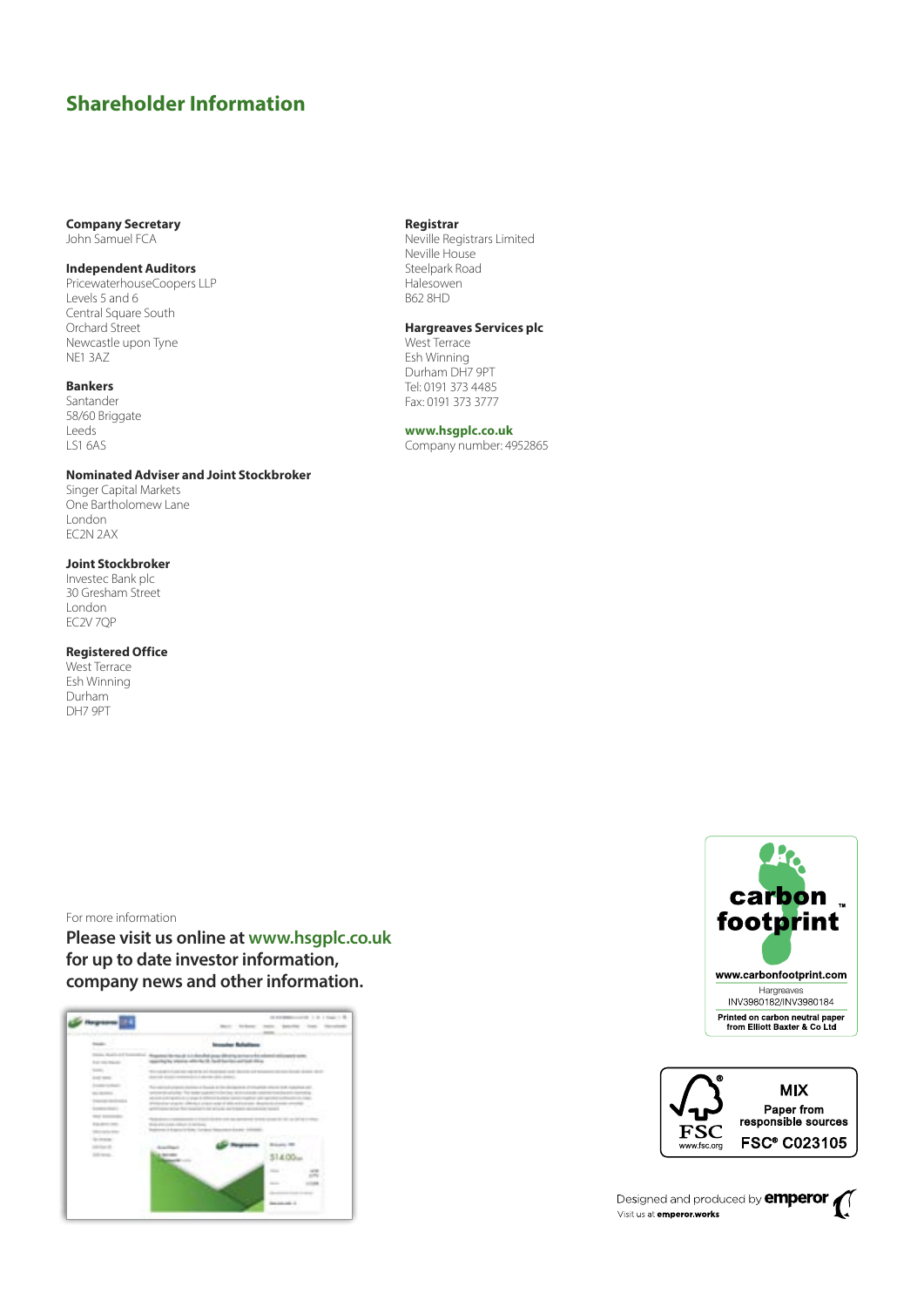## **Shareholder Information**

### **Company Secretary** John Samuel FCA

### **Independent Auditors**

PricewaterhouseCoopers LLP Levels 5 and 6 Central Square South Orchard Street Newcastle upon Tyne NE1 3AZ

### **Bankers**

Santander 58/60 Briggate Leeds LS1 6AS

### **Nominated Adviser and Joint Stockbroker**

Singer Capital Markets One Bartholomew Lane London EC2N 2AX

### **Joint Stockbroker**

Investec Bank plc 30 Gresham Street London EC2V 7QP

### **Registered Office**

West Terrace Esh Winning Durham DH7 9PT

### For more information

**Please visit us online at www.hsgplc.co.uk for up to date investor information, company news and other information.**



### **Registrar**

Neville Registrars Limited Neville House Steelpark Road Halesowen B62 8HD

### **Hargreaves Services plc**

West Terrace Esh Winning Durham DH7 9PT Tel: 0191 373 4485 Fax: 0191 373 3777

### **www.hsgplc.co.uk**

Company number: 4952865





Designed and produced by **emperor** Visit us at **emperor works**